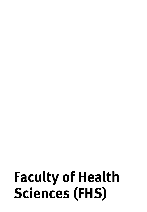# **Faculty of Health Sciences (FHS)**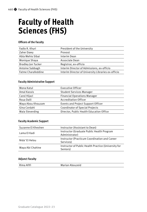# **Faculty of Health Sciences (FHS)**

## **Officers of the Faculty**

| Fadlo R. Khuri            | President of the University                         |
|---------------------------|-----------------------------------------------------|
|                           |                                                     |
| Zaher Dawy                | Provost                                             |
| Abla Mehio Sibai          | Interim Dean                                        |
| Monique Shaya             | Associate Dean                                      |
| <b>Bradley Jon Tucker</b> | Registrar, ex-officio                               |
| Antoine Sabbagh           | Interim Director of Admissions, ex-officio          |
| Fatme Charafeddine        | Interim Director of University Libraries ex-officio |

## **Faculty Administrative Support**

| Mona Katul        | Executive Officer                         |
|-------------------|-------------------------------------------|
| Amal Kassis       | <b>Student Services Manager</b>           |
| Carol Hijazi      | <b>Financial Operations Manager</b>       |
| Roua Dalli        | <b>Accreditation Officer</b>              |
| Maya Abou Khouzam | <b>Events and Project Support Officer</b> |
| Gina Cordahi      | <b>Coordinator of Special Projects</b>    |
| Maia Sieverding   | Director, Public Health Education Office  |
|                   |                                           |

## **Faculty Academic Support**

| Suzanne El Kheshen | Instructor (Assistant to Dean)                                   |
|--------------------|------------------------------------------------------------------|
| Lama El Kadi       | Instructor (Graduate Public Health Program<br>Administrator)     |
| Nida' El Helou     | Instructor (Practicum Coordination and Career<br>Services)       |
| Maya Abi Chahine   | Instructor of Public Health Practice (University for<br>Seniors) |

## **Adjunct Faculty**

Rima Afifi **Marian Abouzeid** Marian Abouzeid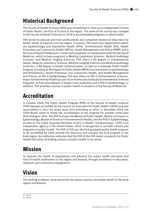# **Historical Background**

The Faculty of Health Sciences (FHS) was established in 1954 as an independent School of Public Health, the first of its kind in the region. The name of the school was changed to the Faculty of Health Sciences in 1978 to accommodate programs in allied health.

FHS serves to educate and train professionals and competent leaders to help meet the health needs of Lebanon and the region. Currently, FHS hosts four departments which are Epidemiology and Population Health (EPH), Environmental Health (EH), Health Promotion and Community Health (HPCH), Health Management and Policy (HMP), and a Division of Health Professions. It also hosts programs in collaboration with the Faculty of Medicine, which include programs in Medical Laboratory Sciences, Medical Audiology Sciences <sup>1</sup>and Medical Imaging Sciences. FHS offers a BS degree in Environmental Health, Medical Laboratory Sciences, Medical Imaging Sciences and Medical Audiology Sciences<sup>2</sup>, a BA degree in Health Communication, as well as a Graduate Public Health Program including an MS degree in Public Health (MPH) (concentrations in Epidemiology and Biostatistics, Health Promotion and Community Health, and Health Management and Policy), an MS in Epidemiology. FHS also offers an MS in Environmental Sciences, major: Environmental Health (as part of an Interfaculty Graduate Environmental Sciences Program), an Executive Master in Health Care Leadership and a PhD in Epidemiology. In addition, FHS provides courses in public health to students in the Faculty of Medicine.

# **Accreditation**

In October 2006, the Public Health Program (PHP) of the Faculty of Health Sciences (FHS) became accredited by the Council on Education for Public Health (CEPH) and was reaccredited in 2012 for seven years term extending to 2019. In December 2019, the CEPH Board voted to renew the accreditation of the program for another seven-year term ending in 2026. The PHP includes the Master of Public Health, Master of Science in Epidemiology, Master of Science in Environmental Health, and the PhD in Epidemiology, as well as the newly launched Bachelor of Arts in Health Communication. CEPH is an independent agency in the United States, which is recognized to accredit schools and programs of public health. The PHP at FHS was the first graduate public health program to be accredited by CEPH outside the Americas and remains the only program in the Arab region. Accreditation indicates that the PHP of the FHS meets standards for Public Health Education of leading schools of public health in the world.

# **Mission**

To improve the health of populations and advance the public health discipline and field of health professions in the region and beyond, through excellence in education, research, and community engagement.

# **Vision**

The leading academic voice and driver for equity, justice, and better health in the Arab region and beyond.

<sup>1)</sup> Frozen

<sup>2)</sup> Frozen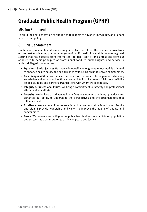# **Graduate Public Health Program (GPHP)**

## Mission Statement

To build the next generation of public health leaders to advance knowledge, and impact practice and policy.

## GPHP Value Statement

Our teaching, research, and service are guided by core values. These values derive from our context as a leading graduate program of public health in a middle-income regional setting that has suffered from intermittent political conflict and unrest and from our adherence to basic principles of professional conduct, human rights, and service to underprivileged communities.

- **Equality & Social Justice:** We believe in equality among people; our work is oriented to enhance health equity and social justice by focusing on underserved communities.
- **Civic Responsibility:** We believe that each of us has a role to play in advancing knowledge and improving health, and we work to instill a sense of civic responsibility among students and partners organizations with whom we collaborate.
- **Integrity & Professional Ethics:** We bring a commitment to integrity and professional ethics in all our efforts.
- **Diversity:** We believe that diversity in our faculty, students, and in our practice sites enhances our ability to understand the perspectives and the circumstances that influence health.
- **Excellence:** We are committed to excel in all that we do, and believe that our faculty and alumni provide leadership and vision to improve the health of people and communities.
- **Peace:** We research and mitigate the public health effects of conflicts on population and systems as a contribution to achieving peace and justice.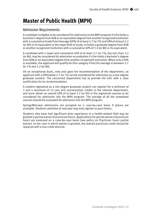# **Master of Public Health (MPH)**

## Admission Requirements

A candidate is eligible to be considered for admission to the MPH program if s/he holds a bachelor's degree from AUB or an equivalent degree from another recognized institution with a cumulative Grade Point Average (GPA) of at least 2.7 (or 75) and GPA of at least 3.2 (or 80) or its equivalent in the major field of study, or holds a graduate degree from AUB or another recognized institution with a cumulative GPA of 3.2 (or 80) or its equivalent.

A candidate with a major and cumulative GPA of at least 2.7 (or 75), but less than 3.2 (or 80), may be considered for admission on probation if s/he holds a bachelor's degree from AUB or an equivalent degree from another recognized institution. When only a GPA is available, the applicant will qualify for this category if her/his average is between 2.7 (or 75) and 3.2 (or 80).

On an exceptional basis, only and upon the recommendation of the department, an applicant with a GPA below 2.7 (or 75) can be considered for admission as a non-degree graduate student. The concerned department has to provide the GSC with a clear justification for its recommendation.

A student registered as a non-degree graduate student can register for a minimum of 7 and a maximum of 12 core and concentration credits in the relevant department, and must obtain an overall GPA of at least 3.7 (or 85) in the registered courses to be considered for admission into the MPH program. The average of all the completed courses should be evaluated for admission into the MPH program.

Spring/Mid-year admissions are accepted on a case-by-case basis if places are available. Students admitted at mid-year may only register as part-timers.

Students who have had significant prior experience in a health-related field may be granted a partial waiver of practicum hours. Applications for partial waiver of practicum hours are assessed on a case-by-case basis (see policy on Practicum hours partial waiver). In the case in which waiver is granted, the waived practicum credit should be replaced with a one credit elective.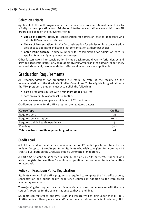## Selection Criteria

Applicants to the MPH program must specify the area of concentration of their choice by priority on the application form. Admission into the concentration areas within the MPH program is based on the following criteria:

- **Choice of Faculty:** Priority for consideration for admission goes to applicants who indicate FHS as their first choice.
- **Choice of Concentration:** Priority for consideration for admission in a concentration area goes to applicants indicating that concentration as their first choice.
- **Grade Point Average:** Normally, priority for consideration for admission goes to applicants with a higher grade point average.

Other factors taken into consideration include background diversity (prior degree and previous academic institution), geographic diversity, years and type of work experience, personal statement, recommendation letters and interview when applicable.

## Graduation Requirements

All recommendations for graduation are made by vote of the faculty on the recommendation of the Graduate Studies Committee. To be eligible for graduation in the MPH program, a student must accomplish the following:

- pass all required courses with a minimum grade of C+ (70),
- earn an overall GPA of at least 3.2 (or 80),
- and successfully complete a minimum of 42 credit hours.

Credit requirements for the MPH program are tabulated below:

| <b>Course Type</b>                              | <b>Credits</b> |
|-------------------------------------------------|----------------|
| Required core                                   | 23             |
| Required concentration                          | $10 - 11$      |
| Required public health experience               |                |
| Electives                                       | 3 - 4          |
| Total number of credits required for graduation | 42             |

## Credit Load

A full-time student must carry a minimum load of 12 credits per term. Students can register for up to 18 credits per term. Students who wish to register for more than 18 credits must petition the Graduate Studies Committee for approval.

A part-time student must carry a minimum load of 5 credits per term. Students who wish to register for less than 5 credits must petition the Graduate Studies Committee for approval.

## Policy on Practicum Policy Registration

Students enrolled in the MPH program are required to complete the 42 credits of core, concentration and public health experience courses in addition to the zero credit mandatory workshops.

Those joining the program on a part time basis must start their enrolment with the core course(s) required for the concentration area they are joining.

Students can register for the Practicum and Integrative Learning Experience II (PBHL 399B) courses with only one core and/ or one concentration course (not including PBHL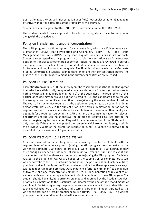305), as long as the course(s) not yet taken does/ (do) not consist of material needed to effectively undertake activities of the Practicum or the courses.

Students can only register for the PBHL 399B upon completion of the PBHL 399A.

The student needs to seek approval to be allowed to register a concentration course along with the practicum.

## Policy on Transferring to another Concentration

The MPH program has three options for concentration, which are Epidemiology and Biostatistics (EPBS), Health Promotion and Community Health (HPCH), and Health Management and Policy (HMP). Every year, a quota for admissions is set for each. Students are accepted into the program in a particular concentration area. Students may petition to transfer to another area of concentration. Petitions are reviewed in current and prospective departments in light of student academic performance, justification for transfer and implications on the quota. The final decision is made by the Graduate Studies Committee. Students cannot transfer to another concentration before the grades of the first term of enrolment in the current concentration are released.

## Policy on Course Exemption

Exemption from a required FHS course may only be considered when the student has proof that s/he has satisfactorily completed a comparable course in a recognized university normally with a minimum grade of B+ (or 80) or the equivalent. The requirement of this particular course may be waived but not its credits (i.e., the candidate has to replace the exempted course credits with another course(s) having the same number of credits). The course instructor may require that the petitioning student take an exam in order to demonstrate proficiency in the subject prior to the official registration period for the required course. In cases where students want to take a course in another faculty and equate it for a required course in the MPH program, the course instructor (or relevant department chairperson) must approve the petition for equating courses prior to the student registering for the course. Request for course exemption for MPH students is only possible if the student completed the course in which exemption is sought within the previous 5 years of the exemption request date. MPH students are allowed to be exempted from a maximum of 6 graduate credits.

## Policy on Practicum Hours Partial Waiver

A partial waiver of hours can be granted on a case-by-case basis. Students with the required level of experience prior to joining the MPH program may request a partial waiver to complete 150 hours of practicum work (instead of 300 hours), if they offer enough evidence of fulfilment of minimum four years of full time relevant and documented public health work experience prior to joining the MPH program. Decisions related to the practicum waiver are based on the submission of complete practicum waiver portfolio to the FHS practicum coordinator. The portfolio should include a) filled practicum waiver form; b) copy of CV with relevant public health workplace references; c) two-page report mapping previous work experience (prior to enrollment) to a minimum of two core and one concentration competencies; d) documentation of relevant tasks and respective outputs during employment prior to enrollment in the MPH program. The student should have his/her portfolio screened and approved by the Academic Advisor prior to its submission to the Practicum Coordinator by the end of the second month of enrollment. Decision regarding the practicum waiver needs to be in the student file prior to the advising period of the student's third term of enrolment. Students granted partial waiver register for a 1-credit practicum course (HMPD/HPCH/EPBS 366). The waived practicum credit should be replaced with a one-credit elective.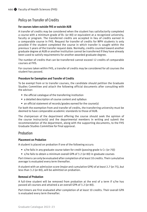## Policy on Transfer of Credits

## **For courses taken outside FHS or outside AUB**

A transfer of credits may be considered when the student has satisfactorily completed a course with a minimum grade of B+ (or 80) or equivalent at a recognized university, faculty or program. The transferred credits are accepted in lieu of credits earned in a comparable course in FHS. Request for transfer of credits for MPH students is only possible if the student completed the course in which transfer is sought within the previous 5 years of the transfer request date. Normally, credits counted toward another graduate degree at AUB or another institution cannot be transferred if they have already been used to satisfy requirements for another awarded graduate degree.

The number of credits that can be transferred cannot exceed 12 credits of comparable courses at FHS.

For courses taken within FHS, a transfer of credits may be considered for all courses the student has passed.

## **Procedure for Exemption and Transfer of Credits**

To be exempt from or to transfer courses, the candidate should petition the Graduate Studies Committee and attach the following official documents after consulting with the advisor:

- the official catalogue of the transferring institution
- a detailed description of course content and syllabus
- an official statement of records/grades earned for the course(s)

For both the exemption from and transfer of credits, the transferring university must be deemed to have comparable academic standards to those of AUB.

The chairperson of the department offering the course should seek the opinion of the course instructor(s) and the departmental members in writing and submit the recommendation of the department, along with the supporting documents, to the FHS Graduate Studies Committee for final approval.

## Probation

## **Placement on Probation**

A student is placed on probation if one of the following occurs:

- s/he fails in any graduate course taken for credit (passing grade is C+ (or 70))
- s/he fails to obtain a minimum overall GPA of 3.2 (or 80) in graduate courses

Part-timers can only be evaluated after completion of at least 10 credits. Their cumulative average is evaluated every term thereafter.

A student with an admission score (major and cumulative GPA) of at least 2.7 (or 75), but less than 3.2 (or 80), will be admitted on probation.

## **Removal of Probation**

A full-time student will be removed from probation at the end of a term if s/he has passed all courses and attained a an overall GPA of 3.2 (or 80).

Part-timers are first evaluated after completion of at least 10 credits. Their overall GPA is evaluated every term thereafter.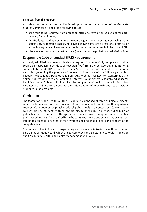## **Dismissal from the Program**

A student on probation may be dismissed upon the recommendation of the Graduate Studies Committee if one of the following occurs:

- s/he fails to be removed from probation after one term or its equivalent for part– timers (10 credit hours)
- the Graduate Studies Committee members regard the student as not having made satisfactory academic progress, not having shown sufficient professional promise, or as not having behaved in accordance to the norms and values upheld by FHS and AUB
- placement on probation more than once (not counting the probation at admission time)

## Responsible Code of Conduct (RCR) Requirements

All newly admitted graduate students are required to successfully complete an online course on Responsible Conduct of Research (RCR) from the Collaborative Institutional Training Initiative (CITI Program). The course "covers core norms, principles, regulations, and rules governing the practice of research." It consists of the following modules: Research Misconduct, Data Management, Authorship, Peer Review, Mentoring, Using Animal Subjects in Research, Conflicts of Interest, Collaborative Research and Research Involving Human Subjects. FHS requires the completion of the following additional two modules, Social and Behavioral Responsible Conduct of Research Course, as well as Students - Class Projects.

## Curriculum

The Master of Public Health (MPH) curriculum is composed of three principal elements which include core courses, concentration courses and public health experience courses. Core courses emphasize critical public health competencies. Concentration courses provide students with an opportunity to specialize in a chosen discipline of public health. The public health experience courses provide an opportunity to practice the knowledge and skills acquired from the coursework (core and concentration courses) into hands-on experience that is then synthesized and linked to core and concentration competencies.

Students enrolled in the MPH program may choose to specialize in one of three different disciplines of Public Health which are Epidemiology and Biostatistics, Health Promotion and Community Health, and Health Management and Policy.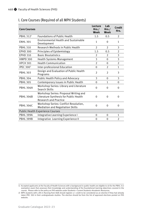| <b>Core Courses</b>   |                                                                                                                 | Lecture<br>Hrs.<br>Week | Lab<br>Hrs.<br>Week | Credit<br>Hrs. |
|-----------------------|-----------------------------------------------------------------------------------------------------------------|-------------------------|---------------------|----------------|
| PBHL 312 <sup>1</sup> | <b>Foundations of Public Health</b>                                                                             | 1.5                     | 0.5                 | 2              |
| <b>ENHL 301</b>       | <b>Environmental Health and Sustainable</b><br>Development                                                      | $\mathbf{1}$            | $\Omega$            | $\mathbf{1}$   |
| <b>PBHL 310</b>       | Research Methods in Public Health                                                                               | $\overline{2}$          | $\overline{2}$      | 3              |
| <b>EPHD 300</b>       | Principles of Epidemiology                                                                                      | 1.5                     | 0.5                 | $\overline{2}$ |
| <b>EPHD 310</b>       | <b>Basic Biostatistics</b>                                                                                      | $\overline{2}$          | $\overline{2}$      | 3              |
| <b>HMPD 300</b>       | <b>Health Systems Management</b>                                                                                | 3                       | $\Omega$            | 3              |
| <b>HPCH 301</b>       | <b>Health Communication</b>                                                                                     | $\overline{2}$          | $\Omega$            | $\overline{2}$ |
| IPEC $3002$           | Inter-professional Education                                                                                    | $\Omega$                | $\overline{2}$      | $\mathbf{1}$   |
| <b>PBHL 303</b>       | Design and Evaluation of Public Health<br>Programs                                                              | $\overline{2}$          | $\overline{2}$      | 3              |
| <b>PBHL 304</b>       | Public Health Policy and Advocacy                                                                               | 3                       | $\Omega$            | 3              |
| <b>PBHL 305</b>       | Contemporary issues in Public Health                                                                            | $\Omega$                | 1                   | $\Omega$       |
| <b>PBHL 306A</b>      | Workshop Series: Library and Literature<br>Search Skills                                                        | 0                       | 0                   | 0              |
| <b>PBHL 306B</b>      | Workshop Series: Proposal Writing and<br>Literature Synthesis for Public Health<br><b>Research and Practice</b> | 0                       | $\Omega$            | $\Omega$       |
| <b>PBHL 306C</b>      | Workshop Series: Conflict Resolution,<br><b>Mediation and Negotiation Skills</b>                                | $\Omega$                | $\Omega$            | $\Omega$       |
|                       | <b>Public Health Experience Courses</b>                                                                         |                         |                     |                |
| PBHL 399A             | Integrative Learning Experience I                                                                               | 0                       | 0                   | $\mathbf{1}$   |
| <b>PBHL 399B</b>      | Integrative Learning Experience II                                                                              | 0                       | 0                   | 2              |

## I. Core Courses (Required of all MPH Students)

<sup>1)</sup> Accepted applicants at the Faculty of Health Sciences with a background in public health are eligible to sit for the PBHL 312 exemption exam that assesses their knowledge and understanding of the foundational learning objectives covered in the course. Please refer to the policy on FHS website under Students-> Current Students->Academic Resources.

<sup>2)</sup> MPH students with a BS in Nursing from AUB should register a 1 credit to be considered as an elective if they had already taken IPEC 300 in their undergraduate studies. The elective should be from the list of approved electives posted on FHS website.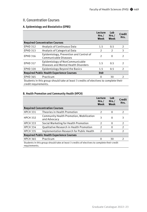## II. Concentration Courses

## **A. Epidemiology and Biostatistics (EPBS)**

|                                                                                                              |                                                                         | Lecture<br>Hrs.<br>Week | Lab<br>Hrs.<br>Week | Credit<br>Hrs. |
|--------------------------------------------------------------------------------------------------------------|-------------------------------------------------------------------------|-------------------------|---------------------|----------------|
|                                                                                                              | <b>Required Concentration Courses</b>                                   |                         |                     |                |
| <b>EPHD 312</b>                                                                                              | Analysis of Continuous Data                                             | 1.5                     | 0.5                 | 2              |
| <b>EPHD 313</b>                                                                                              | Analysis of Categorical Data                                            | $\overline{2}$          | $\mathcal{P}$       | 3              |
| <b>EPHD 316</b>                                                                                              | Epidemiology, Prevention and Control of<br>Communicable Diseases        | C                       | $\Omega$            | $\mathfrak{D}$ |
| <b>EPHD 317</b>                                                                                              | Epidemiology of NonCommunicable<br>Diseases and Mental Health Disorders | 1.5                     | 0.5                 | $\mathcal{P}$  |
| <b>EPHD 320</b>                                                                                              | Epidemiology Beyond the Basics                                          | 1.5                     | 0.5                 | 2              |
| <b>Required Public Health Experience Courses</b><br>340                                                      |                                                                         |                         |                     |                |
| <b>EPHD 365</b>                                                                                              | Practicum                                                               | 0                       | 30                  | $\mathcal{P}$  |
| Students in this group should take at least 3 credits of electives to complete their<br>credit requirements. |                                                                         |                         |                     |                |

## **B. Health Promotion and Community Health (HPCH)**

|                                                                                                              |                                                          | Lecture<br>Hrs.<br>Week | Lab<br>Hrs.<br>Week | Credit<br>Hrs. |
|--------------------------------------------------------------------------------------------------------------|----------------------------------------------------------|-------------------------|---------------------|----------------|
|                                                                                                              | <b>Required Concentration Courses</b>                    |                         |                     |                |
| <b>HPCH 331</b>                                                                                              | Theories in Health Promotion                             | $\mathcal{P}$           | 0                   | 2              |
| <b>HPCH 332</b>                                                                                              | Community Health Promotion, Mobilization<br>and Advocacy | 3                       | 0                   | 3              |
| <b>HPCH 333</b>                                                                                              | Social Marketing for Health Promotion                    | $\overline{2}$          | $\Omega$            | 2              |
| <b>HPCH 334</b>                                                                                              | Qualitative Research in Health Promotion                 | $\mathfrak{D}$          | 0                   | 2              |
| <b>HPCH 335</b>                                                                                              | Implementation Research for Public Health                | $\mathfrak z$           | 0                   | $\overline{2}$ |
| <b>Required Public Health Experience Courses</b>                                                             |                                                          |                         |                     |                |
| <b>HPCH 365</b>                                                                                              | Practicum                                                | 0                       | 30                  | $\mathcal{P}$  |
| Students in this group should take at least 3 credits of electives to complete their credit<br>requirements. |                                                          |                         |                     |                |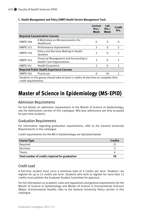|                                                                                                              |                                                                            | Lecture<br>Hrs.<br>Week | Lab<br>Hrs.<br>Week | Credit<br>Hrs. |
|--------------------------------------------------------------------------------------------------------------|----------------------------------------------------------------------------|-------------------------|---------------------|----------------|
|                                                                                                              | <b>Required Concentration Courses</b>                                      |                         |                     |                |
| <b>HMPD 306</b>                                                                                              | A Workshop on Microeconomics for<br>Healthcare                             | $\Omega$                | $\Omega$            | $\Omega$       |
| <b>HMPD 315</b>                                                                                              | Performance Improvement                                                    | 3                       | 0                   | 3              |
| <b>HMPD 318</b>                                                                                              | Policy and Decision Making in Health<br>Systems                            | $\overline{2}$          | 0                   | $\overline{2}$ |
| <b>HMPD 342</b>                                                                                              | Financial Management and Accounting in<br><b>Health Care Organizations</b> | 3                       | $\Omega$            | 3              |
| <b>HMPD 351</b>                                                                                              | <b>Health Economics</b>                                                    | $\overline{2}$          | 0                   | $\mathcal{P}$  |
| <b>Required Public Health Experience Courses</b>                                                             |                                                                            |                         |                     |                |
| <b>HMPD 365</b>                                                                                              | Practicum                                                                  | 0                       | 30                  | $\mathcal{P}$  |
| Students in this group should take at least 4 credits of electives to complete their<br>credit requirements. |                                                                            |                         |                     |                |

## **C. Health Management and Policy (HMP) Health Service Management Track**

## **Master of Science in Epidemiology (MS-EPID)**

## Admission Requirements

For full details on admission requirements to the Master of Science in Epidemiology, see the Admissions section of this catalogue. Mid-year admissions are only accepted for part-time students.

## Graduation Requirements

For information regarding graduation requirements, refer to the General University Requirements in this catalogue.

Credit requirements for the MS in Epidemiology are tabulated below:

| <b>Course Type</b>                              | <b>Credits</b> |
|-------------------------------------------------|----------------|
| Required                                        | 21             |
| Electives                                       |                |
| Thesis                                          | ь              |
| Total number of credits required for graduation | 30             |

## Credit Load

A full-time student must carry a minimum load of 9 credits per term. Students can register for up to 12 credits per term. Students who wish to register for more than 12 credits must petition the Graduate Studies Committee for approval.

For full information on academic rules and regulations and general requirements for the Master of Science in Epidemiology and Master of Science in Environmental Sciences (Major: Environmental Health), refer to the General University Policy section in this catalogue.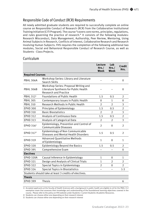## Responsible Code of Conduct (RCR) Requirements

All newly admitted graduate students are required to successfully complete an online course on Responsible Conduct of Research (RCR) from the Collaborative Institutional Training Initiative (CITI Program). The course "covers core norms, principles, regulations, and rules governing the practice of research." It consists of the following modules: Research Misconduct, Data Management, Authorship, Peer Review, Mentoring, Using Animal Subjects in Research, Conflicts of Interest, Collaborative Research and Research Involving Human Subjects. FHS requires the completion of the following additional two modules, Social and Behavioral Responsible Conduct of Research Course, as well as Students - Class Projects.

## Curriculum

|                         |                                                                                                          | Lecture<br>Hrs.<br>Week | Lab<br>Hrs.<br>Week | <b>Credit</b><br>Hrs. |
|-------------------------|----------------------------------------------------------------------------------------------------------|-------------------------|---------------------|-----------------------|
| <b>Required Courses</b> |                                                                                                          |                         |                     |                       |
| <b>PBHL 306A</b>        | Workshop Series: Library and Literature<br>Search Skills                                                 |                         |                     | $\Omega$              |
| <b>PBHL 306B</b>        | Workshop Series: Proposal Writing and<br>Literature Synthesis for Public Health<br>Research and Practice |                         |                     | 0                     |
| PBHL 312 <sup>1</sup>   | <b>Foundations of Public Health</b>                                                                      | 1.5                     | 0.5                 | 2                     |
| <b>PBHL 305</b>         | Contemporary issues in Public Health                                                                     | $\Omega$                | $\mathbf 1$         | 0                     |
| <b>PBHL 310</b>         | Research Methods in Public Health                                                                        | $\overline{2}$          | $\mathfrak{D}$      | 3                     |
| <b>EPHD 300</b>         | Principles of Epidemiology                                                                               | 1.5                     | 0.5                 | 2                     |
| <b>EPHD 310</b>         | <b>Basic Biostatistics</b>                                                                               | $\overline{2}$          | $\overline{2}$      | 3                     |
| <b>EPHD 312</b>         | <b>Analysis of Continuous Data</b>                                                                       | 1.5                     | 0.5                 | $\overline{2}$        |
| <b>EPHD 313</b>         | Analysis of Categorical Data                                                                             | $\overline{2}$          | $\overline{2}$      | 3                     |
| EPHD $3162$             | Epidemiology, Prevention and Control of<br>Communicable Diseases                                         | $\overline{2}$          | $\Omega$            | $\overline{2}$        |
| EPHD 317 <sup>3</sup>   | Epidemiology of Non Communicable<br>Diseases and Mental Health Disorders                                 | 1.5                     | 0.5                 | $\overline{2}$        |
| <b>EPHD 319</b>         | <b>Advanced Ouantitative Methods</b><br>of Epidemiology                                                  | $\mathbf{1}$            | $\Omega$            | $\mathbf{1}$          |
| <b>EPHD 320</b>         | <b>Epidemiology Beyond the Basics</b>                                                                    | 1.5                     | 0.5                 | $\overline{2}$        |
| <b>EPHD 395</b>         | Comprehensive Exam                                                                                       |                         |                     | $\Omega$              |
| <b>Electives</b>        |                                                                                                          |                         |                     |                       |
| EPHD 320A               | Causal Inference in Epidemiology                                                                         | 1                       | $\Omega$            | 1                     |
| <b>EPHD 321</b>         | Design and Analysis of Clinical Trials                                                                   | $\mathbf{1}$            | $\mathcal{P}$       | $\overline{2}$        |
| <b>EPHD 322</b>         | Special Topics in Epidemiology                                                                           | $\overline{2}$          | $\Omega$            | $\overline{2}$        |
| <b>EPHD 324</b>         | <b>Special Topics in Biostatistics</b>                                                                   |                         |                     | $1-3$                 |
|                         | Students should take at least 3 credits of electives.                                                    |                         |                     |                       |
| <b>Thesis</b>           |                                                                                                          |                         |                     |                       |
| <b>EPHD 399</b>         | <b>Thesis</b>                                                                                            |                         |                     | 6                     |

1) Accepted applicants at the Faculty of Health Sciences with a background in public health are eligible to sit for the PBHL 312 exemption exam that assesses their knowledge and understanding of the foundational learning objectives covered in the course. Please refer to the policy on FHS website under Students-> Current Students->Academic Resources.

2) Students can choose either one depending on their research interest

3) Students can choose either one depending on their research interest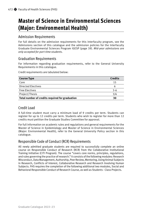# **Master of Science in Environmental Sciences (Major: Environmental Health)**

## Admission Requirements

For full details on the admission requirements for this interfaculty program, see the Admissions section of this catalogue and the admission policies for the Interfaculty Graduate Environmental Sciences Program IGESP (page 39). *Mid-year admissions are only accepted for part-time students.*

## Graduation Requirements

For information regarding graduation requirements, refer to the General University Requirements in this catalogue.

Credit requirements are tabulated below:

| <b>Course Type</b>                              | <b>Credits</b> |
|-------------------------------------------------|----------------|
| Core                                            | 15             |
| <b>Directed Electives</b>                       | ь              |
| <b>Free Electives</b>                           | $3 - 6$        |
| Project/Thesis                                  | 3/6            |
| Total number of credits required for graduation | 30             |

## Credit Load

A full-time student must carry a minimum load of 9 credits per term. Students can register for up to 12 credits per term. Students who wish to register for more than 12 credits must petition the Graduate Studies Committee for approval.

For full information on academic rules and regulations and general requirements for the Master of Science in Epidemiology and Master of Science in Environmental Sciences (Major: Environmental Health), refer to the General University Policy section in this catalogue.

## Responsible Code of Conduct (RCR) Requirements

All newly admitted graduate students are required to successfully complete an online course on Responsible Conduct of Research (RCR) from the Collaborative Institutional Training Initiative (CITI Program). The course "covers core norms, principles, regulations, and rules governing the practice of research." It consists of the following modules: Research Misconduct, Data Management, Authorship, Peer Review, Mentoring, Using Animal Subjects in Research, Conflicts of Interest, Collaborative Research and Research Involving Human Subjects. FHS requires the completion of the following additional two modules, Social and Behavioral Responsible Conduct of Research Course, as well as Students - Class Projects.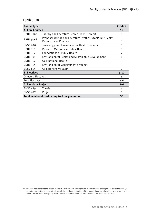## Curriculum

| <b>Course Type</b>          |                                                                                             | <b>Credits</b> |
|-----------------------------|---------------------------------------------------------------------------------------------|----------------|
| <b>A. Core Courses</b>      |                                                                                             | 15             |
| PBHL 306A                   | Library and Literature Search Skills 0 credit                                               | $\Omega$       |
| <b>PBHL 306B</b>            | Proposal Writing and Literature Synthesis for Public Health<br><b>Research and Practice</b> | $\Omega$       |
| <b>ENSC 640</b>             | <b>Toxicology and Environmental Health Hazards</b>                                          | 3              |
| <b>PBHL 310</b>             | Research Methods in Public Health                                                           | 3              |
| PBHL 312 <sup>1</sup>       | <b>Foundations of Public Health</b>                                                         | $\overline{2}$ |
| <b>ENHL 301</b>             | <b>Environmental Health and Sustainable Development</b>                                     | 1              |
| <b>ENHL 312</b>             | Occupational Health                                                                         | 3              |
| <b>ENHL 314</b>             | <b>Environmental Management Systems</b>                                                     | 3              |
| <b>ENSC 695</b>             | Comprehensive Exam                                                                          | $\Omega$       |
| <b>B. Electives</b>         |                                                                                             | $9 - 12$       |
| <b>Directed Electives</b>   |                                                                                             | 6              |
| <b>Free Electives</b>       |                                                                                             | $3 - 6$        |
| <b>C. Thesis or Project</b> |                                                                                             | $3 - 6$        |
| <b>ENSC 699</b>             | Thesis                                                                                      | 6              |
| <b>ENSC 697</b>             | Project                                                                                     | 3              |
|                             | Total number of credits required for graduation                                             | 30             |

<sup>122 1</sup> Accepted applicants at the Faculty of Health Sciences with a background in public health are eligible to sit for the PBHL 312<br>exemption exam that assesses their knowledge and understanding of the foundational learnin course. Please refer to the policy on FHS website under Students-> Current Students->Academic Resources.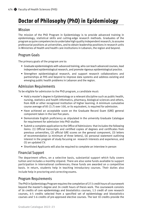# **Doctor of Philosophy (PhD) in Epidemiology**

## Mission

The mission of the PhD Program in Epidemiology is to provide advanced training in epidemiology, statistical skills and cutting-edge research methods. Graduates of the program acquire competencies to undertake high quality independent research, to assume professorial positions at universities, and to obtain leadership positions in research units in Ministries of Health and health care institutions in Lebanon, the region and beyond.

## Program Goals

The primary goals of the program are to:

- Graduate epidemiologists with advanced training, who can teach advanced courses, lead independent epidemiological research, and promote rigorous epidemiological practice.
- Strengthen epidemiological research, and support research collaborations and partnerships at FHS and beyond to improve data systems and address existing and emerging public health problems in Lebanon and the region.

## Admission Requirements

To be eligible for admission to the PhD program, a candidate must:

- Hold a master's degree in Epidemiology or a relevant discipline such as public health, nursing, statistics and health informatics, pharmacy, biological sciences and others, from AUB or other recognized institution of higher learning. A minimum cumulative course average of 85 (3.7) over 100, or its equivalent, is required for admission.
- Have achieved an acceptable score on the Graduate Record Exam (GRE) general component taken in the last five years.
- Demonstrate English proficiency as stipulated in the university Graduate Catalogue for requirement for admission into PhD studies
- Submit a complete application to the Office of Admissions that includes the following items: (1) Official transcripts and certified copies of degrees and certificates from previous universities, (2) official GRE scores on the general component, (3) letters of recommendation (a minimum of three letters), (4) personal statement outlining interest in the program of study focusing on research interests and experience, and (5) an updated CV.
- Shortlisted Applicants will also be required to complete an interview in person

## Financial Support

The department offers, on a selective basis, substantial support which fully covers tuition and includes a monthly stipend. There are also some funds available to support participation in international conferences; these funds are awarded on a competitive basis. In return, students help in teaching introductory courses. Their duties also include help in proctoring and correcting exams.

## Program Requirements

The PhD in Epidemiology Program requires the completion of 27.5 credit hours of coursework beyond the master's degree and 24 credit hours of thesis work. The coursework consists of 16 credits of core epidemiology and biostatistics courses, 1.5 credit of core research courses, 4-5 credits selected from a specified set of epidemiology and biostatistics courses and 5-6 credits of pre-approved elective courses. The last 10 credits provide the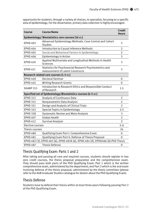opportunity for students, through a variety of choices, to specialize, focusing on a specific area of epidemiology. For the dissertation, primary data collection is highly encouraged.

| Course                                                                          | <b>Course Name</b>                                                                         | <b>Credit</b><br><b>Hours</b> |
|---------------------------------------------------------------------------------|--------------------------------------------------------------------------------------------|-------------------------------|
|                                                                                 | Epidemiology/Biostatistics core courses (16 cr.)                                           |                               |
| <b>EPHD 403</b>                                                                 | Advanced Epidemiology Methods: Case Control and Cohort<br><b>Studies</b>                   | 3                             |
| <b>EPHD 404</b>                                                                 | Introduction to Causal Inference Methods                                                   | $\overline{2}$                |
| <b>EPHD 405</b>                                                                 | Social and Behavioral Factors in Epidemiology                                              | $\overline{2}$                |
| <b>EPHD 406</b>                                                                 | Epidemiology in Action                                                                     | 3                             |
| <b>EPHD 410</b>                                                                 | Applied Multivariate and Longitudinal Methods in Health<br>Sciences                        | 3                             |
| <b>EPHD 411</b>                                                                 | Statistics for Psychosocial Research Psychometrics and<br>measurement of Latent Constructs | 3                             |
|                                                                                 | Research related core courses (1.5 cr.)                                                    |                               |
| <b>EPHD 440</b>                                                                 | <b>Doctoral Seminar</b>                                                                    | $\Omega$                      |
| <b>EPHD 445</b>                                                                 | <b>Writing Research Grants</b>                                                             | 0                             |
| SHARP 315                                                                       | Introduction to Research Ethics and Responsible Conduct<br>of Research                     | 1.5                           |
|                                                                                 | Specified set of Epidemiology/Biostatistics courses (4-5 cr.)                              |                               |
| <b>EPHD 312</b>                                                                 | Analysis of Continuous Data                                                                | $\overline{2}$                |
| <b>EPHD 315</b>                                                                 | Nonparametric Data Analysis                                                                | $\overline{2}$                |
| <b>EPHD 321</b>                                                                 | Design and Analysis of Clinical Trials                                                     | $\overline{2}$                |
| <b>EPHD 322</b>                                                                 | Special Topics in Epidemiology                                                             | $2 - 3$                       |
| <b>EPHD 328</b>                                                                 | Systematic Review and Meta-Analysis                                                        | 3                             |
| <b>EPHD 407</b>                                                                 | <b>Global Health</b>                                                                       | $\overline{2}$                |
| <b>EPHD 412</b>                                                                 | <b>Survival Analysis</b>                                                                   | $\mathfrak{D}$                |
| Elective courses                                                                |                                                                                            | $5 - 6$                       |
| Thesis courses                                                                  |                                                                                            | 24                            |
| <b>EPHD 480</b>                                                                 | Qualifying Exam Part I: Comprehensive Exam                                                 | $\Omega$                      |
| <b>EPHD 481</b>                                                                 | Qualifying Exam Part II: Defense of Thesis Proposal                                        | $\Omega$                      |
| EPHD 482 (3), EPHD 483 (6), EPHD 483A (6), EPHD 484 (9), EPHD486 (0):PhD Thesis |                                                                                            |                               |
| <b>EPHD 487</b>                                                                 | <b>Thesis Defense</b>                                                                      | 0                             |

## Thesis Qualifying Exam: Parts 1 and 2

After taking and passing all core and required courses, students should register in two zero credit courses, the thesis proposal preparation and the comprehensive exam. They should pass both parts of the PhD Qualifying Exam: Part 1 which is the written comprehensive exam, administered by the department; and Part 2 which is the oral exam involving defense of the thesis proposal, administered by the thesis committee (please refer to the AUB Graduate Studies catalogue for details about the PhD Qualifying Exam).

## Thesis Defense

Students have to defend their thesis within at most three years following passing Part 2 of the PhD Qualifying Exam.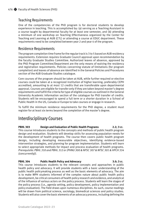## Teaching Requirements

One of the competencies of the PhD program is for doctoral students to develop experience in teaching. This is accomplished by: (a) serving as a Teaching Assistant in a course taught by departmental faculty for at least one semester, and (b) attending a minimum of one workshop on Teaching Effectiveness organized by the Center for Teaching and Learning at AUB (CTL) or attending a course at EDUC department. These requirements need to be completed between year 2 and year 4 of the program.

## Residence Requirements

The program completion time frame for the regular track is 3 to 5 based on AUB residency requirements. Extension requires Graduate Council approval upon recommendation by the faculty Graduate Studies Committee. Authorized leaves of absence, approved by the PhD Program Committee/Department are the only means of waiving the residency and registration requirements. Policies concerning statute of limitations (for program completion) and leaves of absence are identified in the General Policies and Procedures section of the AUB Graduate Studies catalogue.

Core courses of the program should be taken at AUB, while further required or elective courses could be taken at a recognized institution of higher learning, preferably CEPH accredited, amounting to at most 12 credits that are transferable upon departmental approval. Courses are eligible for transfer only if they are taken beyond master's degree requirements and fulfill the criteria for type of eligible courses as outlined in the General University Academic Information section of the catalogue for PhD transfer of credits. Students will be encouraged to spend a full term or a shorter duration in a School of Public Health in the US, Canada or Europe to take courses or engage in research.

To fulfill the minimum residence requirements for the PhD degree, a student must register for at least six terms beyond the completion of the master's degree.

## Interdisciplinary Courses

**PBHL 303 Design and Evaluation of Public Health Programs 2.2; 3 cr.** This course introduces students to the concepts and methods of public health program design and evaluation. Students will develop skills for assessing population needs for the development of health programs. The course then covers public health program design, including developing measurable objectives, identifying evidence-based intervention strategies, and planning for program implementation. Students will learn to select appropriate methods for impact and process evaluation of health programs. *Prerequisite: PBHL 310 and PBHL 312 or (PHNU 300 & NFSC 307 & NFSC 301 & HPCH 334 (concurrently)).*

## **PBHL 304 Public Health Policy and Advocacy 3.0; 3 cr.**

This course introduces students to the relevant concepts and approaches in public health policy and advocacy. It will provide students with a basic understanding of the public health policymaking process as well as the basic elements of advocacy. The aim is to make MPH students informed of the complex nature about public health policy development, be critical consumers of health policy research and evidence, and analytical of the influence of various actors on the policy process. Students will learn the stages of the policy process (i.e., agenda setting, policy development, policy implementation and policy evaluation). The field draws upon numerous disciplines. As such, course readings will be drawn from political science, sociology, biomedical sciences and policy studies. Students will also cover the basic elements of an advocacy process, including defining the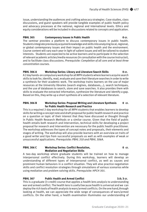issue, understanding the audiences and crafting advocacy strategies. Case studies, class discussions, and guest speakers will provide tangible examples of public health policy and advocacy processes at the national, regional and international levels. Ethics and equity considerations will be included in discussions related to concepts and application.

## **PBHL 305 Contemporary Issues in Public Health 0 cr.**

The seminar provides a platform to discuss contemporary issues in public health. Students integrate previously acquired knowledge and skills into analyzing local, regional, or global contemporary issues and their impact on public health and the environment. Course content will vary each year in light of salient issues and will be tailored to student interests. Students are expected to be active learners and to participate in the selection of relevant academic articles/media resources (in consultation with the course instructor), and to facilitate class discussions. *Prerequisite: Completion of all core and at least three concentration courses.* 

**PBHL 306 A Workshop Series: Library and Literature Search Skills 0 cr.** A 2 day hands-on compulsory workshop for all MPH students where learners acquire search skills to look for, identify, read, evaluate and save their literature searches in order to write a synthesis for their academic work. The workshop trains learners on the use of major resources at the University libraries (search engines, databases,…), search techniques, and the use of databases to search, store and save searches. It also provides them with skills to evaluate the extracted information, synthesize the literature and identify a gap. Based on this, they write-up a short synthesis of a selection of relevant literature.

## **PBHL 306 B Workshop Series: Proposal Writing and Literature Synthesis 0 cr. for Public Health Research and Practice**

This is a required 2-day workshop for all MPH students that enables learners to develop skills for writing a concept note and draft proposal for public health research and practice on a question or topic of their interest that they have discussed or thought through in Public Health Research Methods or a similar course. Given that the field of public health entails both research and intervention, technical skills for developing a project proposal for research and intervention are necessary for the public health practitioner. The workshop addresses the types of concept notes and proposals, their elements and stages of writing. The workshop will also provide learners with an overview on traits of a good writer and tips from successful proposals as well as with examples of weak or unsuccessful applications. *Prerequisite: PBHL 310 and PBHL 306A.*

## **PBHL 306 C Workshop Series: Conflict Resolution, The CONFIGURE CONFIDENT CONFIDENT CONFIDENTS Mediation and Negotiation Skills**

A two-day workshop where graduate students will be trained on how to manage interpersonal conflict effectively. During this workshop, learners will develop an understanding of different types of interpersonal conflict, as well as causes and prominent human behaviors in a conflict situation. They will also practice negotiation skills and conflict resolution strategies through simulations of various scenarios while using mediation and problem solving skills. *Prerequisite: HPCH 301.*

## **PBHL 307 Public Health and Armed Conflict 3.0; 3 cr.**

This is a graduate (3-credit) course that applies a health lens analysis to understanding war and armed conflict. The health lens is useful because health is universal and we can deploy the rich tools of health analysis to wars/armed conflicts. On the one hand,through looking at health, we can appreciate the wide range of consequences of wars/armed conflicts. On the other hand, a health examination illuminates our understanding of

## Graduate Catalogue 2020–21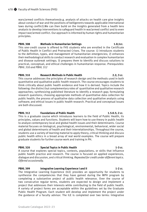wars/armed conflicts themselves(e.g. analysis of attacks on health care give insights about conduct of war and the positions of belligerents towards applicable international laws during conflict).We can then build on the insights generated from a health lens analysis to develop interventions to safeguard health in war/armed conflict and to even impact war/armed conflict. Our approach is informed by human rights and humanitarian principles.

## **PBHL 308 Methods in Humanitarian Settings 1.0;1cr.**

This one-credit course is offered to FHS students who are enrolled in the Certificate of Public Health in Conflict and Protracted Crises. The course: 1) introduces students to the definition, types, and management of humanitarian emergencies; 2) enhances their methodological skills to conduct research and evaluation in complex humanitarian and disease outbreak settings; 3) prepares them to identify and discuss solutions to practical, conceptual, and ethical challenges in humanitarian response. *Prerequisites: PBHL 310 and PBHL 312*

## **PBHL 310 Research Methods in Public Health 2.2; 3 cr.**

This course addresses the principles of research design and the methods used in both quantitative and qualitative public health research. The course encourages students to think critically about public health evidence and how it is derived. Topics include the following: the distinct but complementary roles of quantitative and qualitative research approaches; synthesizing published literature to identify a research gap; formulating research questions; choosing appropriate methods of quantitative data collection for public health; the process of qualitative data collection and qualitative analysis using software; and ethical issues in public health research. Practical and conceptual issues are both discussed.

## **PBHL 312** Foundations of Public Health 1.5:0.5: 2 cr.

This is a graduate course which introduces learners to the field of Public Health, its principles, values and functions. Students will learn how to use theory in public health to analyze contemporary local and global health issues and their determinants. Course material focuses on biological, psychological, environmental, behavioral, wider social and global determinants of health and their interrelationships. Throughout the course, students use a variety of learning material to apply theory, critical thinking and discuss public health ethics in a broad array of real world examples. The course will prepare graduate students for further course work and training in PH.

## **PBHL 320** Special Topics in Public Health 1-3 cr.

A course that explores special topics, contexts, populations, or skills that influence public health practice and research. The course is focused on applied experiences, dialogue and discussion, and critical thinking. *Repeated for credit under different topics. Offered occasionally.*

## **PBHL 399 Integrative Learning Experience I and II 1-2 cr.**

The Integrative Learning Experience (ILE) provides an opportunity for students to synthesize the competencies that they have gained during the MPH program by completing a substantive project of public health relevance. Over the course of two consecutive regular terms, students are expected to design and implement a project that addresses their interests while contributing to the field of public health. A variety of project forms are acceptable within the guidelines set by the Graduate Public Health Program. Each student will develop and implement the project under the guidance of a faculty advisor. The ILE is completed over two terms: Integrative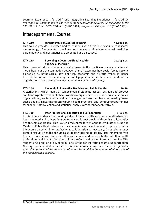Learning Experience I (1 credit) and Integrative Learning Experience II (2 credits). *Pre-requisite: Completion of all but two of the concentration courses. Co-requisites: EPHD 310,PBHL 310 and EPHD 300. ILE I (PBHL 399A) is a pre-requisite for ILE II (PBHL 399B).*

## Interdepartmental Courses

### **IDTH 210 Fundamentals of Medical Research1 40.10; 3 cr.** This course provides first year medical students with their first exposure to research methodology. Fundamental principles and concepts of evidence-based medicine, epidemiology and biostatistics are presented and discussed.

## **IDTH 215 Becoming a Doctor-3: Global Health1 21.21; 2 cr. and Social Medicine**

This course introduces students to central issues in the practice of social medicine and global health and the connection between them. It examines how social forces become embodied as pathologies; how political, economic and historic trends influence the distribution of disease among different populations; and how new trends in the organization of care affect the most vulnerable members of society.

**IDTH 268 Clerkship in Preventive Medicine and Public Health1 10.80** A clerkship in which teams of senior medical students assess, critique and propose solutions to problems of public health or clinical significance. The students examine policy, organizational, social and individual challenges to these problems, addressing issues such as equity in health and setting public health programs, and identifying opportunities for change. Data collection and statistical analysis are secondary objectives.

### **IPEC 300 Inter-Professional Education and Collaboration 1.1; 1 cr.** In this course students from nursing and public health will learn how population health is best promoted and safe, patient-centered care is best provided through a collaborative health teams approach. This is a required course for senior undergraduate Nursing and Master of Public Health students. The course is case-based on health topics across the life-course on which inter-professional collaboration is necessary. Discussion groups combining public health and nursing students will be moderated by faculty members from the two professions. Students will learn the roles and responsibilities of other health professions and how to function in inter-professional teams. Prerequisites: For MPH students: Completion of all, or all but one, of the concentration course. Undergraduate Nursing students must be in their senior year. *Enrolment by other students is possible upon the approval of the course coordinator. Prerequisite: Completion of all but one of the concentration courses.*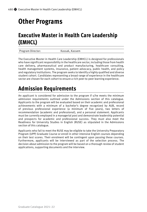# **Other Programs**

# **Executive Master in Health Care Leadership (EMHCL)**

Program Director: Kassak, Kassem

The Executive Master in Health Care Leadership (EMHCL) is designed for professionals who have significant responsibility in the healthcare sector, including those from health care delivery, pharmaceutical and product manufacturing, healthcare consulting, health management systems, insurance, patient advocacy, public health, and policy and regulatory institutions. The program seeks to identify a highly qualified and diverse student cohort. Candidates representing a broad range of experience in the healthcare sector are chosen for each cohort to ensure a rich peer-to-peer learning experience.

# **Admission Requirements**

An applicant is considered for admission to the program if s/he meets the minimum admission requirements outlined under the Admissions section of this catalogue. Applicants to the program will be evaluated based on their academic and professional achievements with a minimum of a bachelor's degree recognized by AUB, record of previous professional experience (a minimum of five years), two letters of recommendation (academic and professional), and a personal statement. Applicants must be currently employed in a managerial post and demonstrate leadership potential and prospects for academic and professional success. They must also meet the Readiness for University Studies in English (RUSE) as stipulated in the Admissions section of this catalogue.

Applicants who fail to meet the RUSE may be eligible to take the University Preparatory Program (UPP) Graduate Course or enroll in other intensive English courses depending on their test scores. Their enrolment will be contingent upon passing these courses. Furthermore, applicants will be interviewed as part of the selection process. The decision about admission to the program will be based on a thorough review of student applications, supporting documents and the interview.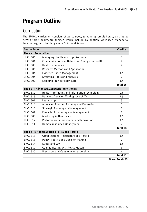# **Program Outline**

## Curriculum

The EMHCL curriculum consists of 21 courses, totaling 45 credit hours, distributed across three healthcare themes which include Foundation, Advanced Managerial Functioning, and Health Systems Policy and Reform.

| <b>Course Type</b>         |                                                | <b>Credits</b>         |
|----------------------------|------------------------------------------------|------------------------|
| <b>Theme I: Foundation</b> |                                                |                        |
| <b>EHCL 300</b>            | Managing Healthcare Organizations              | 3                      |
| <b>EHCL 301</b>            | Communication and Behavioral Change for Health | $\overline{2}$         |
| <b>EHCL 303</b>            | <b>Health Economics</b>                        | $\overline{2}$         |
| <b>EHCL 305</b>            | Research Methods and Application               | 3                      |
| <b>EHCL 306</b>            | <b>Evidence Based Management</b>               | 1.5                    |
| <b>EHCL 304</b>            | <b>Statistical Tools and Analysis</b>          | $\mathcal{P}$          |
| <b>EHCL 302</b>            | Epidemiology in Health Care                    | 1.5                    |
|                            |                                                | <b>Total 15</b>        |
|                            | Theme II: Advanced Managerial Functioning      |                        |
| <b>EHCL 310</b>            | Health Informatics and Information Technology  | 2.5                    |
| <b>EHCL 313</b>            | Data and Decision Making (Use of IT)           | 1.5                    |
| <b>EHCL 307</b>            | Leadership                                     | 3                      |
| <b>EHCL 314</b>            | Advanced Program Planning and Evaluation       | $\overline{2}$         |
| <b>EHCL 315</b>            | <b>Strategic Planning and Management</b>       | $\overline{2}$         |
| <b>EHCL 309</b>            | <b>Financial Accounting and Management</b>     | $\mathfrak{D}$         |
| <b>EHCL 308</b>            | Marketing in Healthcare                        | 1.5                    |
| <b>EHCL 312</b>            | Performance Improvement and Innovation         | 1.5                    |
| <b>EHCL 311</b>            | Human Resources Management                     | $\mathfrak{D}$         |
|                            |                                                | <b>Total 18</b>        |
|                            | Theme III: Health Systems Policy and Reform    |                        |
| <b>EHCL 316</b>            | Organizational Restructure and Reform          | 1.5                    |
| <b>EHCL 318</b>            | Policy, Politics and Decision Making           | C.                     |
| <b>EHCL 317</b>            | <b>Ethics and Law</b>                          | 1.5                    |
| <b>EHCL 319</b>            | <b>Communicating with Policy Makers</b>        | 3                      |
| <b>EHCL 320</b>            | Practicum and Capstone in Leadership           | 4                      |
|                            |                                                | <b>Total 12</b>        |
|                            |                                                | <b>Grand Total: 45</b> |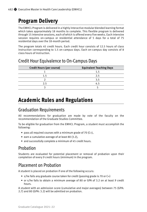# **Program Delivery**

The EMHCL Program is delivered in a highly interactive modular blended learning format which takes approximately 18 months to complete. This flexible program is delivered through 15 intensive sessions, each of which is offered every five weeks. Each intensive session requires on-campus or residential attendance of 5 days for a total of 75 residential days over the 18-month period.

The program totals 45 credit hours. Each credit hour consists of 12.5 hours of class instruction corresponding to 1.5 on-campus days. Each on-campus day consists of 8 class hours of instruction.

| <b>Credit Hours (per course)</b> | <b>Equivalent Teaching Days</b> |
|----------------------------------|---------------------------------|
|                                  | 1.5                             |
| 1.5                              | 2.5                             |
|                                  | 3.5                             |
| 2.5                              | 4.5                             |
|                                  |                                 |
|                                  |                                 |

## Credit Hour Equivalence to On-Campus Days

# **Academic Rules and Regulations**

## Graduation Requirements

All recommendations for graduation are made by vote of the faculty on the recommendation of the Graduate Studies Committee.

To be eligible for graduation from the EMHCL Program, a student must accomplish the following:

- pass all required courses with a minimum grade of 70 (C+),
- earn a cumulative average of at least 80 (3.2),
- and successfully complete a minimum of 45 credit hours.

## Probation

Students are evaluated for potential placement or removal of probation upon their completion of every 9 credit hours (minimum) in the program.

## Placement on Probation

A student is placed on probation if one of the following occurs:

- s/he fails any graduate course taken for credit (passing grade is 70 or C+)
- or s/he fails to obtain a minimum average of 80 or GPA of 3.2 on at least 9 credit hours.

A student with an admission score (cumulative and major averages) between 75 (GPA: 2.7) and 80 (GPA: 3.2) will be admitted on probation.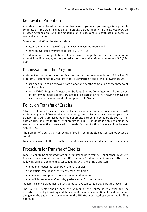## Removal of Probation

A student who is placed on probation because of grade and/or average is required to complete a three-week makeup plan mutually agreed upon with the EMHCL Program Director. After completion of the makeup plan, the student is re-evaluated for potential removal of probation.

To remove probation, the student should:

- attain a minimum grade of 70 (C+) in every registered course and
- have an evaluated average of at least 80 (GPA: 3.2).

A student admitted on probation will be removed from probation if after completion of at least 9 credit hours, s/he has passed all courses and attained an average of 80 (GPA: 3.2).

## Dismissal from the Program

A student on probation may be dismissed upon the recommendation of the EMHCL Program Director and the Graduate Studies Committee if one of the following occurs:

- s/he has failed to be removed from probation after the completion of the three-week makeup plan
- or the EMHCL Program Director and Graduate Studies Committee regard the student as not having made satisfactory academic progress or as not having behaved in accordance to the norms and values upheld by FHS or AUB.

## Policy on Transfer of Credits

A transfer of credits may be considered when a course is satisfactorily completed with a minimum grade of 80 or equivalent at a recognized university, faculty or program. The transferred credits are accepted in lieu of credits earned in a comparable course in or outside FHS. Request for transfer of credits for EMHCL students is only possible if the student completed the course in which transfer is sought within five years of the transfer request date.

The number of credits that can be transferred in comparable courses cannot exceed 9 credits.

For courses taken at FHS, a transfer of credits may be considered for all passed courses.

## Procedure for Transfer of Credits

For a student to be exempted from or to transfer courses from AUB or another university, the candidate should petition the FHS Graduate Studies Committee and attach the following official documents after consulting with the EMHCL Director:

- a letter of request for exemption and/or transfer
- the official catalogue of the transferring institution
- a detailed description of course content and syllabus
- an official statement of records/grades earned for the course(s)

Transferring universities must be considered to have comparable standards to those of AUB.

The EMHCL Director should seek the opinion of the course instructor(s) and the department faculty in writing and then submit the recommendation of the department, along with the supporting documents, to the FHS Graduate Studies Committee for final approval.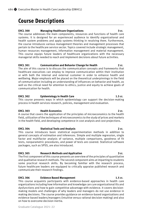# **Course Descriptions**

## **EHCL 300 Managing Healthcare Organizations 3 cr.**

The course addresses the main components, resources and functions of health care systems. It is designed for an experienced audience to identify organizational and health system problems and apply systems thinking in resolving them. Furthermore, the course introduces various management theories and management processes that pertain to the healthcare service sector. Topics covered include strategic management, human resources management, information management and material management. This course equips future leaders of healthcare organizations with the necessary managerial skills needed to reach and implement decisions about future activities.

## **EHCL 301 Communication and Behavior Change for Health 2 cr.**

The aim of this course is to discuss the communication concepts and frameworks that healthcare executives can employ to improve communication within their institution or with both the internal and external customer in order to enhance health and wellbeing. Major emphasis will be placed on the theoretical underpinnings in the field of communication including an understanding of influences on behavior and health, as well as the critical need for attention to ethics, justice and equity to achieve goals of communication for health.

## **EHCL 302 Epidemiology in Health Care** 1.5 cr. **1.5 cr.**

This course presents ways in which epidemiology can support the decision-making process in health services research, policies, management and evaluation.

## **EHCL 303 Health Economics 2 cr.**

A course that covers the application of the principles of microeconomics to the health field, utilization of the techniques of microeconomics to the study of prices and markets in the health field, and developing competence in cost analysis and cost projections.

## **EHCL 304 Statistical Tools and Analysis 2 cr.**

This course introduces basic statistical experimentation methods in addition to general concepts of estimation and inferences. Simple and multiple regression, single factor and multifactor analysis of variance, multiple comparisons, goodness of fit tests, nonparametric procedures, and power of tests are covered. Statistical software packages, such as SPSS, are also introduced.

## **EHCL 305 Research Methods and Application 3 cr. 3 cr.**

The first component of this course presents an overview of the principles of quantitative and qualitative research methods. The second component aims at imparting to students some practical research skills. By becoming familiar with the research process, future healthcare leaders are equipped to critically appraise published research and communicate their research findings.

## EHCL 306 **Evidence Based Management 1.5 cr.**

This course acquaints participants with evidence-based approaches in health care organizations including how information and knowledge can cure organizational ills and dysfunctions and how to gain competitive advantage with evidence. It covers decisionmaking models and challenges of why leaders and managers do not use evidence in making decisions. The course provides guidance on evidence-based organizations and evidence-based leaders/managers (intuitive versus rational decision-making) and also on how to overcome decision inertia.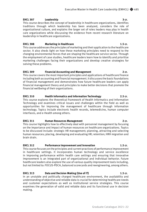## **EHCL 307** Leadership **3 cr. 3 cr. 3 cr.**

This course describes the concept of leadership in healthcare organizations, identifies traditions through which leadership has been analyzed, considers the role of organizational culture, and explains the larger set of roles leaders may play in health care organizations while discussing the evidence from recent research literature on leadership in healthcare organizations.

## **EHCL 308** Marketing in Healthcare 1.5 cr. **1.5 cr.** 2015

This course addresses the principles of marketing and their application to the healthcare sector. It also sheds light on how these marketing principles need to respond to the changing environmental forces that are shaping the healthcare service sector. Through the employment of case studies, healthcare leaders learn how to identify and prioritize marketing challenges facing their organizations and develop creative strategies for solving these problems.

## **EHCL 309 Financial Accounting and Management 2 cr.**

This course covers the most important principles and applications of healthcare finance including both accounting and financial management. It discusses the basic foundations of financial management and demonstrates how future healthcare leaders can apply financial management theory and principles to make better decisions that promote the financial wellbeing of their organizations.

## **EHCL 310 Health Informatics and Information Technology 2.5 cr.**

This course explores the theoretical framework of Health Informatics and Information Technology and examines critical issues and challenges within the field as well as opportunities for improving the management of healthcare through information technology. Topics include electronic health records, telemedicine, human computer interfaces, and e-Health among others.

## EHCL 311 Human Resources Management 2 cr.

This course highlights how to effectively deal with personnel management by focusing on the importance and impact of human resources on healthcare organizations. Topics to be discussed include: strategic HR management; planning, attracting and selecting human resources; placing, developing and evaluating HR; retention; HRH migration and brain drain.

## **EHCL 312 Performance Improvement and Innovation 1.5 cr.**

This course focuses on the principles and current practices of performance improvement in healthcare settings. It incorporates human technology and service excellence in improving performance within health care settings and ensuring that innovative improvement is an integrated part of organizational and individual behavior. Future healthcare leaders also explore the use of various quality improvement tools including, but not limited to: FOCUS-PDCA, balanced scorecards and reengineering, among others.

## **EHCL 313 Data and Decision Making (Use of IT) 1.5 cr.**

In an unstable and politically charged healthcare environment, the availability and understanding of objective and reliable data is crucial for determining healthcare needs and customer expectations as well as institutional service strategies. This course examines the generation of valid and reliable data and its functional use in decision making.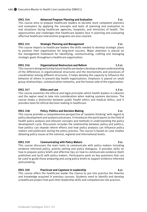## **EHCL 314 Advanced Program Planning and Evaluation 2 cr.**

This course aims to prepare healthcare leaders to become more competent planners and evaluators by applying the concepts and tools of planning and evaluation to real situations facing healthcare agencies, hospitals, and ministries of health. The opportunities and challenges that healthcare leaders face in planning and evaluating effective healthcare intervention programs are also covered.

## **EHCL 315 Strategic Planning and Management 2 cr.**

This course imparts to healthcare leaders the skills needed to develop strategic plans to position their organization for long-term success. Major attention is placed on the management framework for identifying, communicating, crafting and managing strategic goals throughout a healthcare organization.

## **EHCL 316 Organizational Restructure and Reform 1.5 cr.**

This course is designed to help future healthcare leaders develop a deeper understanding of the differences in organizational structures and the mechanisms and processes of coordination among different structures. It helps develop the capacity to influence the behavior of others in present-day health organizations. Emphasis is placed on small group relationships, communication networks, and the human side of the organization.

## **EHCL 317** Ethics and Law **1.5 cr. 1.5 cr.**

This course examines the ethical and legal principles which health leaders in Lebanon and the region need to take into consideration when making systems decisions. The course draws a distinction between public health ethics and medical ethics, and it provides tools for ethical decision-making in healthcare.

## EHCL 318 **Policy, Politics and Decision Making**  2 cr.

This course provides a comprehensive perspective of 'systems thinking' with regard to policy development and analysis processes. It introduces the participants to the field of health policy analysis and relevant concepts and methods in understanding the policy development cycle. Discussion includes the relationship between policy and politics, how politics can impede reform efforts and how policy analysts can influence policy makers and politicians during the policy process. The course is based on case studies debating policy issues at the national, regional and international levels.

## EHCL 319 Communicating with Policy Makers **3 cm** 3 cr.

This course discusses the main tools to communicate with policy makers including evidence informed policy, priority setting and policy dialogues. It provides skills on how to prepare policy briefs and effective tips on how to communicate evidence (both published and tacit) with policy makers. Participants work on key questions that can be used to guide those preparing and using policy briefs to support evidence-informed policymaking.

## EHCL 320 **Practicum and Capstone in Leadership Acr.** 4 cr.

This course offers the healthcare leader the chance to put into practice the theories and knowledge acquired in previous courses. Students need to identify and develop a healthcare project that puts their leadership skills and competencies into practice.

### Graduate Catalogue 2021–22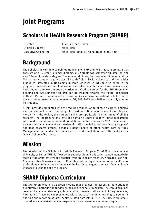# **Joint Programs**

# **Scholars in HeAlth Research Program (SHARP)**

| Director:            | El Haji Fuleihan, Ghada                       |
|----------------------|-----------------------------------------------|
| Diploma Director:    | Tamim. Hani                                   |
| Executive Committee: | Tamim, Hani; Nabulsi, Mona; Huda; Sibai, Abla |

# **Background**

The Scholars in HeAlth Research Program is a joint FM and FHS graduate program that consists of a 12-credit summer diploma, a 12-credit two-semester diploma, as well as a 35-credit master's degree. The summer diploma, two-semester diploma, and the MS degree are open to graduates of health fields. Social scientists and humanities graduates interested in Non-Communicable Diseases (NCD) can also enroll in the program, provided they fulfill admission and selection criteria and have the necessary background to follow the course curriculum. Credits earned for the SHARP summer diploma and two-semester diploma can be credited towards the Master of Science in Health Research requirements. These credits can also be credited in full or partly towards other post-graduate degrees at FM, FHS, FAFS, or HSON and possibly at other institutions.

SHARP provides graduates with the required foundation to pursue a career in clinical and translational research. Although focused on NCD, a major cause of mortality and morbidity in the region, the garnered skills are applicable to other areas of clinical research. The Program helps create and sustain a cadre of highly trained researchers who conduct patient-oriented and population-oriented studies on NCD. It also equips trainees with management and leadership skills needed to become "change agents" and lead research groups, academic departments or other health care settings. Management and leadership courses are offered in collaboration with faculty at the Olayan School of Business.

# **Mission**

The Mission of the Scholars in HeAlth Research Program (SHARP) at the American University of Beirut (AUB) is "To provide superior didactic education complemented with state-of-the-art interactive and practical training in health research, with a focus on Non-Communicable Diseases research. It is intended for physicians and other health care professionals, to improve and advance the health care agenda for Non-Communicable Diseases in Lebanon and the region."

# **SHARP Diploma Curriculum**

The SHARP diploma is a 12-credit module that provides the essential foundations in quantitative methods and fundamental skills to conduct research. The core disciplines covered include epidemiology, biostatistics, research ethics and library sciences/ informatics. These are complemented with a practical hands-on training course in the analysis and reporting of large health-related datasets in NCD. The SHARP diploma is offered as an intensive summer program and as a two-semester online program.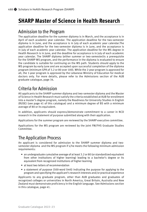# **SHARP Master of Science in Health Research**

## Admission to the Program

The application deadline for the summer diploma is in March, and the acceptance is in April of each academic year calendar. The application deadline for the two-semester diploma is in June, and the acceptance is in July of each academic year calendar.The application deadline for the two-semester diploma is in June, and the acceptance is in July of each academic year calendar. The application deadline for the MS degree in Health Research is in June, and the deadline for acceptance is in July of each academic year calendar. The SHARP diploma (either summer or two-semester)is a prerequisite for the SHARP MS program, and the performance in the diploma is evaluated to ensure the candidate is suitable for continuing on the MS path. Students should apply to the MS program by early June and are accepted upon successful completion of the diploma program (minimum GPA of 3.2 or 80 over 100). While the 2-year program is approved for all, the 1-year program is approved by the Lebanese Ministry of Education for medical doctors only. For more details, please refer to the Admissions section of the AUB graduate catalogue, page 34.

## Criteria for Admission

All applicants to the SHARP summer diploma and two-semester diploma and the Master of Science in Health Research must satisfy the criteria established at AUB for enrollment into a master's degree program, namely the Readiness for University Studies in English (RUSE) (see page 41 of this catalogue) and a minimum degree of BS with a minimum average of 80 or its equivalent.

In addition, applicants should express/demonstrate commitment to a career in NCD research in the statement of purpose submitted along with their application.

Applications for the summer program are reviewed by the SHARP executive committee.

Applications for the MS program are reviewed by the joint FM/FHS Graduate Studies Committee.

## The Application Process

An applicant is considered for admission to the SHARP summer diploma and twosemester diploma and the MS program if s/he meets the following minimum admission requirements:

- an undergraduate cumulative average of at least 3.2 or 80 (or standardized equivalent from other institutions of higher learning) leading to a bachelor's degree or its equivalent from recognized institutions of higher learning
- at least two letters of recommendation
- a statement of purpose (500-word limit) indicating the purpose for applying to the program and specifying the applicant's research interests and/or practical experience

Applicants to any graduate program, other than AUB graduates and graduates of recognized colleges or universities in North America, Great Britain, Australia and New Zealand must demonstrate proficiency in the English language. See Admissions section in this catalogue, page 41.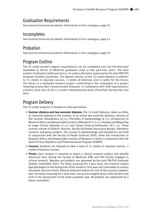## Graduation Requirements

See General University Academic Information in this catalogue, page 55.

## Incompletes

See General University Academic Information in this catalogue, page 52.

## Probation

See General University Academic Information in this catalogue, page 59.

## Program Outline

The 35-credit master's degree requirements can be completed over one full-time year (available to Doctor of Medicine graduates only) or two part-time years. The total number of allowed credits per term is 16 unless otherwise approved by the joint FM/FHS Graduate Studies Committee. The degree consists of the 12-credit diploma in addition to 15 credits in required courses, 2 credits of electives and 6 credits for the thesis. The thesis is a mentored research project culminating in the completion of a project revolving around Non-Communicable Diseases. In compliance with AUB requirements, scholars must also sit for a 0-credit comprehensive exam (Pass/Fail) during their last term.

## Program Delivery

The 35-credit program is divided as indicated below:

- **Summer diploma and two-semester diploma:** The 12-credit diploma, taken as either an intensive diploma in the summer, or an online two-semester diploma, consists of five courses: Biostatistics (4 cr.), Principles of Epidemiology (4 cr.), Introduction to Research Ethics and Responsible Conduct of Research (1.5 cr.), Analysis and Reporting of Large Clinical Datasets (2 cr.) and Library Science/Informatics (0.5 cr.). These courses consist of didactic lectures, faculty-facilitated discussion groups, laboratory sessions and group projects. The courses in epidemiology and biostatistics are held in conjunction with the Faculty of Health Sciences (FHS), while the Introduction to Research Ethics and Responsible Conduct of Research is held in conjunction with the Salim El-Hoss Bioethics and Professionalism Program (SHBPP).
- **Courses:** Students are required to take a total of 15 credits in required courses, 2 credits of elective courses.
- **Thesis:** Each student is required to select a clinical research project and identify advisor(s) from among the Faculty of Medicine (FM) and FHS faculty engaged in clinical research. Mentors and projects are approved by the joint FM/FHS Graduate Studies Committee (GSC). For those pursuing the 2-year track, the research project typically begins in the Spring term of the student's first year and culminates in a thesis document and oral thesis defense delivered before the end of the second academic year. For those choosing the 1-year track, the process begins early in the Fall term and ends in the Spring term of the same academic year. All projects are supervised by a thesis committee.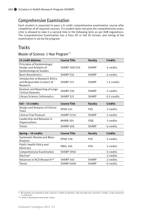## Comprehensive Examination

Each student is expected to pass a 0-credit comprehensive examination course after completion of all required courses. If a student does not pass the comprehensive exam, s/he is allowed to take it a second time in the following term as per AUB regulations. The Comprehensive Examination has a Pass (P) or Fail (F) format, and timing of the examination is set by the program.

## **Tracks**

Master of Science: 1-Year Program\*\*\*

| 12 credit diploma                                                                | <b>Course Title</b> | <b>Faculty</b> | <b>Credits</b> |
|----------------------------------------------------------------------------------|---------------------|----------------|----------------|
| Principles of Epidemiology/<br>Design and Analysis of<br>Epidemiological Studies | SHARP 300/320       | <b>SHARP</b>   | 4 credits      |
| <b>Basic Biostatistics</b>                                                       | SHARP 310           | <b>SHARP</b>   | 4 credits      |
| Introduction to Research Ethics<br>and Responsible Conduct of<br>Research        | SHARP 315           | <b>SHARP</b>   | 1.5 credits    |
| Analysis and Reporting of Large<br><b>Clinical Datasets</b>                      | SHARP 330           | <b>SHARP</b>   | 2 credits      |
| Library Science /Informatics                                                     | SHARP 325           | <b>SHARP</b>   | 0.5 credits    |
|                                                                                  |                     |                |                |
| Fall - 13 credits                                                                | <b>Course Title</b> | <b>Faculty</b> | <b>Credits</b> |
| Design and Analysis of Clinical<br><b>Trials</b>                                 | <b>EPHD 321</b>     | <b>FHS</b>     | 2 credits      |
| Clinical Trial Protocol                                                          | SHARP 321A          | <b>SHARP</b>   | 2 credits      |
| Leadership and Behavior in<br>Organizations                                      | <b>MHRM 305</b>     | <b>OSB</b>     | 3 credits      |
| <b>Thesis</b>                                                                    | SHARP 400           | <b>SHARP</b>   | 6 credits      |
|                                                                                  |                     |                |                |
| Spring - 10 credits                                                              | <b>Course Title</b> | <b>Faculty</b> | <b>Credits</b> |
| Systematic Review and Meta-<br>Analysis                                          | <b>EPHD 328</b>     | <b>FHS</b>     | 3 credits      |
| Public Health Policy and<br>Advocacy                                             | <b>PBHL 304</b>     | <b>FHS</b>     | 3 credits      |
| Comprehensive Examination                                                        | SHARP 395A          |                | 0 credits      |
| Elective*                                                                        |                     |                | 2 credits      |
| Advances in NCD Research**                                                       | SHARP 340           | <b>SHARP</b>   | 2 credits      |
| <b>Thesis</b>                                                                    | SHARP 400A          | <b>SHARP</b>   | 0 credits      |

<sup>\*)</sup> MS students are required to take a total of 2 credits as electives. They may take one course for 2 credits, or two courses for 1 credit each.

<sup>\*\*)</sup> Given in Spring term once every 2 years.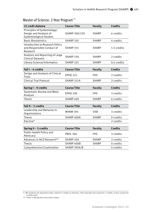| 12 credit diploma                                                                | <b>Course Title</b> | <b>Faculty</b> | <b>Credits</b> |
|----------------------------------------------------------------------------------|---------------------|----------------|----------------|
| Principles of Epidemiology/<br>Design and Analysis of<br>Epidemiological Studies | SHARP 300/320       | <b>SHARP</b>   | 4 credits      |
| <b>Basic Biostatistics</b>                                                       | SHARP 310           | <b>SHARP</b>   | 4 credits      |
| Introduction to Research Ethics<br>and Responsible Conduct of<br>Research        | SHARP 315           | SHARP          | 1.5 credits    |
| Analysis and Reporting of Large<br><b>Clinical Datasets</b>                      | SHARP 330           | <b>SHARP</b>   | 2 credits      |
| Library Science/informatics                                                      | SHARP 325           | <b>SHARP</b>   | 0.5 credits    |
|                                                                                  |                     |                |                |
| Fall I - 4 credits                                                               | <b>Course Title</b> | <b>Faculty</b> | <b>Credits</b> |
| Design and Analysis of Clinical<br><b>Trials</b>                                 | <b>EPHD 321</b>     | FHS            | 2 credits      |
| <b>Clinical Trial Protocol</b>                                                   | SHARP 321A          | <b>SHARP</b>   | 2 credits      |
|                                                                                  |                     |                |                |
|                                                                                  |                     |                |                |
| Spring I-9 credits                                                               | <b>Course Title</b> | <b>Faculty</b> | <b>Credits</b> |
| Systematic Review and Meta-<br>Analysis                                          | <b>EPHD 328</b>     | <b>FHS</b>     | 3 credits      |
| <b>Thesis</b>                                                                    | SHARP 400           | <b>SHARP</b>   | 6 credits      |
|                                                                                  |                     |                |                |
| Fall II - 5 credits                                                              | <b>Course Title</b> | <b>Faculty</b> | <b>Credits</b> |
| Leadership and Behavior in<br>Organizations                                      | <b>MHRM 305</b>     | <b>OSB</b>     | 3 credits      |
| <b>Thesis</b>                                                                    | SHARP 400A          | <b>SHARP</b>   | 0 credits      |
| Elective*                                                                        | $\blacksquare$      | ä,             | 2 credits      |
|                                                                                  |                     |                |                |
| Spring II - 5 credits                                                            | <b>Course Title</b> | <b>Faculty</b> | <b>Credits</b> |
| Public Health Policy and<br>Advocacy                                             | <b>PBHL 304</b>     | <b>FHS</b>     | 3 credits      |
| Advances in NCD Research**                                                       | SHARP 340           | <b>SHARP</b>   | 2 credits      |
| <b>Thesis</b>                                                                    | SHARP 400B          | <b>SHARP</b>   | 0 credits      |

## Master of Science: 2-Year Program\*\*\*

<sup>\*)</sup> MS students are required to take a total of 2 credits as electives. They may take one course for 2 credits, or two courses for

<sup>2</sup> credits each. \*\*) Given in Spring term once every 2 years.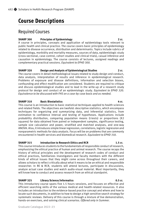# **Course Descriptions**

## Required Courses

## **SHARP 300 Principles of Epidemiology 2 cr.**

A course in principles, concepts and application of epidemiology tools relevant to public health and clinical practice. The course covers basic principles of epidemiology related to disease occurrence, distribution and determinants. Topics include rubrics of epidemiology, morbidity and mortality measures, sources of data, epidemiologic study (cross-sectional, case-control, cohort studies and clinical trials), casual inference and causation in epidemiology. The course consists of lectures, assigned readings and complementary practical sessions. *Equivalent to EPHD 300.*

## **SHARP 320 Design and Analysis of Epidemiological Studies 2 cr.**

The course covers in detail methodological issues related to study design and conduct, data analysis, interpretation of results and inference in epidemiological research. Problems of exposure and disease definitions, information and selection biases, confounding and effect modification are considered. Students are required to critique and discuss epidemiological studies and to lead in the write-up of a research study protocol for design and conduct of an epidemiologic study. *Equivalent to EPHD 320. Equivalence to be discussed with FHS on a case-by-case basis and as needed.*

## **SHARP 310** Basic Biostatistics 4 cr.

This course is an introduction to basic statistical techniques applied to health sciences and related fields. The objectives are twofold: descriptive statistics, which encompass techniques for organizing and summarizing data, and inferential statistics, from estimation to confidence interval and testing of hypotheses. Applications include probability distribution, comparing population means (t-tests) or proportions (X2 squares) for data obtained from paired or independent samples, significance testing, sample size calculation and power, stratified and matched analyses, and one-way ANOVA. Also, it introduces simple linear regression, correlations, logistic regression and nonparametric methods for data analysis. Focus will be on problems that are commonly encountered in health services and biomedical research. *Equivalent to EPHD 310.*

## **SHARP 315 Introduction to Research Ethics and RCR 1.5 cr.**

This course introduces students to the fundamentals of responsible conduct of research, emphasizing the ethical practice of human and animal research. The course recaps the history of ethical principles and the development of research codes of conduct and ethical practices, familiarizes investigators and faculty members with the different kinds of ethical issues that they might come across throughout their careers, and allows scholars to reflect critically about what it means to be an ethical and responsible researcher. In RE & RCR, students will attend lectures, participate in discussions, analyze actual case studies and watch audio-visual material. Most importantly, they will know how to conduct and assess research from an ethical standpoint.

## **SHARP 325 Library Science/Informatics 0.5 cr.**

This introductory course spans five 1.5 hours sessions, and focuses on effective and efficient searching skills of the various medical and health-related resources. It also includes an introduction to the evidence-based practice concept and where and how to locate such documents, in addition to how to design a high sensitive search strategy for systematic reviews. Delivery of this course is through a mixture of live demonstration, hands-on exercises, and solving clinical scenarios. *Offered only in Summer.*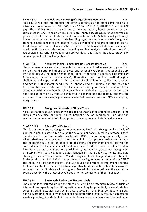**SHARP 330** Analysis and Reporting of Large Clinical Datasets I 2 cr. This course will put into practice the statistical analysis and other computing skills introduced to scholars in EPHD 300/SHARP 300, EPHD 310/SHARP 310 and SHARP 325. The training format is a mixture of demonstrations, hands-on exercises and clinical scenarios. The course will simulate previously executed/published analyses on previously collected de-identified health research datasets. Scholars will go through the entire process experience of data handling, hypothesis-driven analysis design and culminate in the execution of statistical analysis (modeling) and presentation of results. In addition, this course will use existing datasets to familiarize scholars with commonly used health data analysis methods including survival analysis methodology and Cox regression multivariate modeling of survival data, and finally introduce propensity score approaches for risk-adjustment.

## **SHARP 340 Advances in Non-Communicable Diseases Research 2 cr.**

The course examines a number of selected non-communicable diseases (NCD) given their morbidity and mortality burden at the local and regional level. Expert guest speakers are invited to discuss the public health importance of the topic/its burden; epidemiology (prevalence, patterns, determinants); theoretical and practical methodological challenges and opportunities in the conduct of epidemiologic studies; most recent findings in NCD research conducted in Lebanon and the region; and strategies for the prevention and control of NCDs. The course is an opportunity for students to be acquainted with researchers in Lebanon active in the field and to appreciate the scope and findings of the NCD studies conducted in Lebanon and the region. Students are expected to lead on a scoping review of a selected research question. *Offered in Spring every 2 years.*

## **EPHD 321** Design and Analysis of Clinical Trials **1998** 2 cr.

A course that focuses on issues in the design and organization of randomized controlled clinical trials: ethical and legal issues, patient selection, recruitment, masking and randomization, endpoint definition, protocol development and statistical analysis.

## **SHARP 321A Clinical Trial Protocol 2 cr.**

This is a 2-credit course designed to complement EPHD 321 (Design and Analysis of Clinical Trials). It is structured around the development of a clinical trial protocol based on principles/concepts covered in parallel in EHPD 321. The course systematically covers all standard key items needed to describe a clinical trial protocol using the 33 items checklist of the 2013 SPIRIT (Standard Protocol Items: Recommendations for Intervention Trials) document. These items include detailed content description for: administrative information, protocol registration, participants, interventions, outcomes, assignment of interventions, data collection, data management, data analysis, monitoring, data sharing, ethics and dissemination. Weekly assignments are designed to guide students in the production of a clinical trial protocol, covering sequential items of the SPIRIT checklist. The final paper consists of a fully developed protocol to implement a clinical trial that is suitable for submission for competitive funding and for publication in a peerreviewed journal. Students will also give a PowerPoint presentation at the end of the course describing the protocol developed prior to submission of their final paper.

## **EPHD 328 Systematic Review and Meta-Analysis 3 cr.**

The course is structured around the steps of executing a systematic review of trials of interventions: specifying the PICO question, searching for potentially relevant articles, selecting eligible studies, abstracting data, assessing risk of bias, conducting a metaanalysis, grading the quality of evidence and interpreting results. Weekly assignments are designed to guide students in the production of a systematic review. The final paper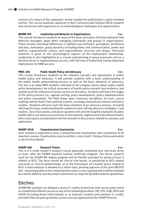consists of a report of the systematic review suitable for publishing in a peer-reviewed journal. The course examines advances in Non-Communicable Disease (NCD) research and risk factors with special focus on methodological challenges and opportunities.

### **MHRM 305 Leadership and Behavior in Organizations 3 cr.**

This course introduces students to many of the basic principles of human behavior that effective managers apply when managing individuals and groups in organizations. These include individual differences in abilities and attitudes, perception, attribution and bias, motivation, group dynamics including teams and communication, power and politics, organizational culture, and organizational structure and design. Particular attention is given to the psychological aspects of the employment relationship. Leadership is also highlighted as a crucial underpinning of group processes and as a decisive factor in organizational success, with the tone of leadership having important implications for HRM success.

### **PBHL 304 Public Health Policy and Advocacy 3 cr.**

This course introduces students to the relevant concepts and approaches in public health policy and advocacy. It will provide students with a basic understanding of the public health policymaking process as well as the basic elements of advocacy. The aim is to make MPH students informed of the complex nature about public health policy development, be critical consumers of health policy research and evidence, and analytical of the influence of various actors on the policy .Students will learn the stages of the policy process (i.e., agenda setting, policy development, policy implementation and policy evaluation). The field draws upon numerous disciplines. As such, course readings will be drawn from political science, sociology, biomedical sciences and policy studies. Students will also cover the basic elements of an advocacy process, including defining the issue, understanding the audiences and crafting advocacy strategies. Case studies, class discussions, and guest speakers will provide tangible examples of public health policy and advocacy processes at the national, regional and international levels. Ethics and equity considerations will be included in discussions related to concepts and application.

## **SHARP 395A Comprehensive Examination 0 cr.**

Each student is expected to pass a comprehensive examination after completion of all required courses. Examinations may be written, oral or both. Timing of the examination is set by the program.

## **SHARP 400 Research Thesis 6 cr.**

This is a 6-credit master's research course generally completed over two-three terms or more, after the SHARP required summer certificate program. The thesis research track for the SHARP MS degree program will be flexible provided its primary focus is related to NCD. The focus would be clinical trial based, or pertaining to NCD related outcomes or clinical epidemiology, or to the formulation of a health policy related to NCD. A meta-analysis is allowed as a thesis topic pending approval of the joint FM/FHS GSC. A passing grade on the comprehensive exam is also required and it will be followed by a thesis defense and document submission as required by AUB academic guidelines.

## Electives

SHARP MS students are allowed a total of 2 credits of electives that can be taken either as established offered courses at any of the following faculties: FM, FHS, OSB, FAFS and HSON (including those listed below), or as tutorials (credits) and seminars (1 credit), provided they are post-graduate courses and are approved by the SHARP Director.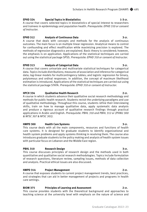## **EPHD 324 Special Topics in Biostatistics 1-3 cr.**

A course that covers selected topics in biostatistics of special interest to researchers and trainees in epidemiology and population health. *Prerequisite: EPHD 310 or consent of instructor.*

## **EPHD 312** Analysis of Continuous Data 3 cr.

A course that deals with concepts and methods for the analysis of continuous outcomes. The main focus is on multiple linear regression. Analytical means to control for confounding and effect modification while maximizing precision is explored. The methods of regression diagnostics are explained. Basic theory is considered; however, the emphasis is on application. Applications of the statistical techniques are carried out using the statistical package SPSS. *Prerequisite: EPHD 310 or consent of instructor.*

## **EPHD 313** Analysis of Categorical Data 3 cr.

A course that covers univariate and multivariate statistical techniques for categorical data. Topics include distributions; measures of association and inference for categorical data; log-linear models for multicontingency tables; and logistic regression for binary, polytomous and ordinal responses. In addition, the concept of maximum likelihood estimation is introduced. Applications of the statistical techniques are carried out using the statistical package STATA. *Prerequisite: EPHD 310 or consent of instructor.*

## **HPCH 334 Qualitative Health Research 2 cr.**

A course in which students advance their qualitative social research methodology and methods for public health research. Students revisit the underlying paradigms and use of qualitative methodology. Throughout this course, students refine their interviewing skills, train on how to manage qualitative data, apply systematic data analysis and produce a rigorous account of qualitative research findings through practical applications in Arabic and English. *Prerequisite: PBHL 310 and PBHL 312 or (PHNU 300 & NFSC 307 & NFSC 301).*

## **HMPD 300 Health Care Systems 3 cr.**

This course deals with all the main components, resources and functions of health care systems. It is designed for graduate students to identify organizational and health system problems and apply systems thinking in resolving them. The course also introduces graduate students to the policy making and analysis of health system issues with particular focus on Lebanon and the Middle East region.

## **PBHL 310** Research Design **3 cr. 3 cr.**

This course discusses principles of research design and the methods used in both quantitative and qualitative social research methodologies. Topics include formulation of research questions, literature review, sampling issues, methods of data collection and analysis. Practical ethical issues are also discussed.

## **HMPD 314** Project Management 2 cr.

A course that exposes students to current project management trends, best practices, and strategies that can aid in better management of projects and programs in health care settings.

## **BIOM 375** Principles of Learning and Assessment 2 cr.

This course provides students with the theoretical background and approaches to teaching science at the university level with emphasis on the nature of science and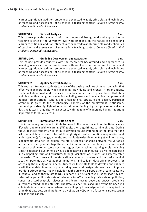learner cognition. In addition, students are expected to apply principles and techniques of teaching and assessment of science in a teaching context. *Course offered to PhD students in Biomedical Sciences.*

### **SHARP 345** Survival Analysis **1 cr. 1** cr.

This course provides students with the theoretical background and approaches to teaching science at the university level with emphasis on the nature of science and learner cognition. In addition, students are expected to apply principles and techniques of teaching and assessment of science in a teaching context. *Course offered to PhD students in Biomedical Sciences.*

### **SHARP 329A** Guideline Development and Adaptation **1 CD 600 CM** 1 cr.

This course provides students with the theoretical background and approaches to teaching science at the university level with emphasis on the nature of science and learner cognition. In addition, students are expected to apply principles and techniques of teaching and assessment of science in a teaching context. *Course offered to PhD students in Biomedical Sciences.*

## **SHARP 332** Applied Survival Analysis 1 cr.

This course introduces students to many of the basic principles of human behavior that effective managers apply when managing individuals and groups in organizations. These include individual differences in abilities and attitudes, perception, attribution and bias, motivation, group dynamics including teams and communication, power and politics, organizational culture, and organizational structure and design. Particular attention is given to the psychological aspects of the employment relationship. Leadership is also highlighted as a crucial underpinning of group processes and as a decisive factor in organizational success, with the tone of leadership having important implications for HRM success.

## **SHARP 360** Introduction to Data Science 2 cr.

This introductory course will initiate trainees to the main concepts of the Data Science lifecycle, and to machine learning (ML) tools, their algorithms, to mine big data. During the 20 lectures students will learn: To develop an understanding of the data that one will use and how it was collected through significant exploration (exploration and understanding); To munge, wrangle, and manipulate data in order to get an informative, manageable data set; To explore the statistical relationships between the variables in the data, and generate hypotheses and intuition about the data prediction based on statistical learning tools such as regression, machine learning tools including classification and clustering, as well as deep learning techniques; To give the data back in a compelling form and structure, through visualization, stories, and interpretable summaries. The course will therefore allow students to understand the basics behind ML, their potential, as well as their limitations, and to learn data-driven protocols for assessing the quality of data sets. Students will use ML tools to develop and validate predictive models, in order to predict, diagnose, and design interventions to improve pre-defined outcomes. This will include health outcomes in population or cohort settings in general, and as they relate to NCDs in particular. Students will use trustworthy preselected large public data sets of relevance to NCDs including data sets on pollution, cancer and cardiovascular diseases, and learn how to pose and answer predictive questions around those data sets. The Data Science tools acquired by the trainees will culminate in a course project where they will apply knowledge and skills acquired on large (big) data sets on air pollution as well as on NCDs with a focus on cardiovascular diseases and cancer.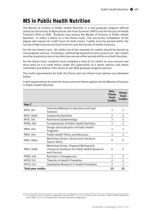# **MS in Public Health Nutrition**

The Master of Science in Public Health Nutrition is a new graduate program offered jointly by the Faculty of Agricultural and Food Sciences (FAFS) and the Faculty of Health Sciences (FHS) at AUB. Students may pursue the Master of Science in Public Health Nutrition in either a thesis or a non-thesis track. The successful completion of the degree will require 40 credit hours for both tracks. Credits must be earned within the Faculty of Agricultural and Food Sciences and the Faculty of Health Sciences.

For the non-thesis track, 38 credits out of the required 40 credits should be earned as core program courses, including a culminating experience and a practicum. Two credits must be acquired as one or two elective courses either earned within or at both faculties.

For the thesis track, students must complete a total of 34 credits as core courses and must work on a 6-credit thesis under the supervision of a thesis advisor and thesis committee and defend their thesis as per AUB graduate program policies.

The credit requirements for both the thesis and non-thesis track options are tabulated below.

|                    |                                                                                                          | Non-<br><b>Thesis</b><br><b>Track</b><br><b>Credits</b> | Thesis<br><b>Track</b><br><b>Credits</b> |
|--------------------|----------------------------------------------------------------------------------------------------------|---------------------------------------------------------|------------------------------------------|
| Year 1*            |                                                                                                          |                                                         |                                          |
| <b>NFSC 301</b>    | Statistical Methods for Nutrition and Food<br>Sciences                                                   | 3                                                       | 3                                        |
| <b>NFSC 306A</b>   | <b>Community Nutrition</b>                                                                               | $\overline{2}$                                          | 2                                        |
| <b>NFSC 307</b>    | Nutritional Epidemiology                                                                                 | 3                                                       | 3                                        |
| <b>PHNU 300</b>    | <b>Fundamentals of Public Health Nutrition</b>                                                           | 3                                                       | 3                                        |
| <b>PBHL 303</b>    | Design and Evaluation of Public Health<br>Programs                                                       | 3                                                       | 3                                        |
| <b>PBHL 304</b>    | <b>Public Health Policy and Advocacy</b>                                                                 | 3                                                       | 3                                        |
| <b>PBHL 306A</b>   | Workshop Series: Library and Literature<br>Search Skills                                                 | $\Omega$                                                | $\Omega$                                 |
| <b>PBHL 306B</b>   | Workshop Series: Proposal Writing and<br>Literature Synthesis for Public Health Research<br>and Practice | $\Omega$                                                | $\Omega$                                 |
| <b>PHNU 304</b>    | Nutrition in Emergencies                                                                                 | $\overline{2}$                                          | $\overline{2}$                           |
| <b>HPCH 331</b>    | Theories in Health Promotion                                                                             | 2                                                       | $\overline{2}$                           |
| <b>HPCH 334</b>    | Qualitative Research in Health Promotion                                                                 | $\mathfrak{p}$                                          | $\mathfrak{D}$                           |
| Total year credits |                                                                                                          | 23                                                      | 23                                       |

Credit requirements for both the thesis and non-thesis options for the Master of Science in Public Health Nutrition

<sup>\*)</sup> Pre-requisites may be needed as applicable (namely PBHL 312 (2 cr) if student does not have a Public Health background and/or NFSC 221 (3 cr) if student does not have a Nutrition background)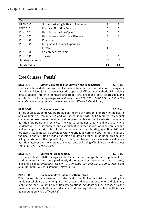| Year <sub>2</sub>         |                                      |                |                |
|---------------------------|--------------------------------------|----------------|----------------|
| <b>HPCH 333</b>           | Social Marketing in Health Promotion | $\overline{2}$ | $\overline{2}$ |
| <b>FSEC 310</b>           | <b>Food and Nutrition Security</b>   | 3              | 3              |
| <b>PHNU 301</b>           | Nutrition in the Life Cycle          | 3              | 3              |
| <b>PHNU 302</b>           | Nutrition-related Chronic Disease    | 3              | 3              |
| <b>PHNU 390</b>           | Practicum                            | $\overline{2}$ | 0              |
| <b>PHNU 391</b>           | Integrative Learning Experience      | 3              | 0              |
|                           | Elective                             | 1              | 0              |
| <b>PHNU 396</b>           | Comprehensive Exam                   | $\Omega$       | 0              |
| <b>PHNU 399</b>           | Thesis                               | $\Omega$       | 6              |
| <b>Total year credits</b> |                                      | 17             | 17             |
| <b>Total credits</b>      |                                      | 40             | 40             |

## Core Courses (Thesis)

**NFSC 301 Statistical Methods for Nutrition and Food Science 2.3; 3 cr.** This is an intermediate level course of statistics. Topics include introduction to designs in Nutrition and Food Science research; critical appraisal of literature; methods of describing data; statistical inference for means and proportions; linear and logistic regression, and an introduction to multiple regression. *Prerequisites: STAT 210 or EDUC 227 and CMPS 209 or equivalent undergraduate course in statistics. Offered Fall and Spring.*

## **NFSC 306A Community Nutrition 2.0; 2 cr.**

In this course, students will be trained on the role of nutrition in improving the health and wellbeing of communities and will be equipped with skills required to conduct community-based assessment, as well as plan, implement, and evaluate community nutrition programs and policies. The course combines theory and practice where students will discuss, analyze, and experiment with the theories of behavioral change and will apply the principles of nutrition education when tackling specific nutritional problems. Students will be provided with experiential learning opportunities to assess the health and nutrition needs of specific population groups. In addition, this course will give students the opportunity to plan, implement, and evaluate small-scale nutrition interventions to improve the health and well-being of individuals within select communities. *Offered Spring.*

## **NFSC 307 Nutritional Epidemiology 3.0; 3 cr.**

This course deals with the design, conduct, analysis, and interpretation of epidemiologic studies related to nutrition, particularly the relationship between nutritional status, diet and disease. *Prerequisites: STAT 210 or EDUC 227 and CMPS 209 or equivalent undergraduate course in statistics. Offered Fall.*

## **PHNU 300 Fundamentals of Public Health Nutrition 3 cr.**

This course introduces students to the field of public health nutrition, covering the fundamental pillars of the field; nutrition status and needs assessments and planning, monitoring, and evaluating nutrition interventions. Students will be exposed to the theories and conceptual frameworks behind addressing nutrition-related health issues at a population level. *Offered Fall.*

## Graduate Catalogue 2022–23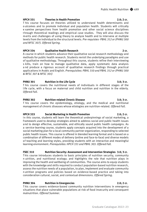## **HPCH 331 Theories in Health Promotion 2.0; 2 cr.**

T his course focuses on theories utilized to understand health determinants and o utcomes and to promote individual and population health. Students will critically e xamine perspectives from health promotion and other social science disciplines t hrough theoretical readings and empirical case studies. They will also discuss the m erits and challenges of using theory to analyze health and to intervene at multiple levels from the individual to the structural levels. *Pre-requistes- PBHL 312 or (PHNU 300 and NFSC 307). Offered Spring.*

## **HPCH 334 Qualitative Health Research 2 cr.**

A course in which students advance their qualitative social research methodology and methods for public health research. Students revisit the underlying paradigms and use of qualitative methodology. Throughout this course, students refine their interviewing s kills, train on how to manage qualitative data, apply systematic data analysis a nd produce a rigorous account of qualitative research findings through practical applications in Arabic and English. *Prerequisites: PBHL 310 and PBHL 312 or (PHNU 300 & NFSC 307 & NFSC 301)*

## **PHNU 301 Nutrition in the Life Cycle 3.0; 3 cr.**

T his course covers the nutritional needs of individuals in different stages of the l ife cycle, with a focus on maternal and child nutrition and nutrition in the elderly. *Offered Fall.*

## **PHNU 302 Nutrition-related Chronic Disease 3.0; 3 cr.**

T his course covers the epidemiology, etiology, and the medical and nutritional management of chronic diseases whose etiologies are nutrition-related. *Offered Fall.*

## **HPCH 333 Social Marketing in Health Promotion 2.0; 2 cr.**

In this course, students will learn the theoretical underpinnings of social marketing, a framework used to develop strategies aimed to address social and public health issues a nd to design effective, sustainable, and ethically sound public health campaigns. As a service-learning course, students apply concepts acquired into the development of a social marketing plan for a local community partner organization, responding to selected public health issues. This course is offered in blended learning format and is based on a combination of different modes of delivery (online and face-to-face) and diverse models of teaching and learning styles, providing students with an interactive and meaningful learning environment. *Prerequisites: HPCH 331 and PBHL 303. Offered Fall.*

## **FSEC 310 Nutrition Security: Assessment and Intervention Strategies 3.0; 3 cr.**

T his course introduces students to basic principles of nutrition security, community n utrition, and nutritional ecology; and highlights the role that nutrition plays in improving the health and wellbeing of communities. The course aims to equip students with the knowledge and skills required to conduct population-based nutrition research, assess the nutrition needs of a population, to plan, implement and evaluate community n utrition programs and policies based on evidence-based practice and taking into consideration cultural, social, and contextual dimensions. *Offered Spring.*

## **PHNU 304 Nutrition in Emergencies 2.0; 2 cr.**

T his course covers evidence-based community nutrition interventions in emergency situations that place vulnerable populations at risk of food insecurity and consequent malnutrition. *Offered Summer.*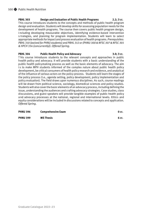## **PBHL 303 Design and Evaluation of Public Health Programs 2.2; 3 cr.**

This course introduces students to the concepts and methods of public health program design and evaluation. Students will develop skills for assessing population needs for the development of health programs. The course then covers public health program design, i ncluding developing measurable objectives, identifying evidence-based intervention s trategies, and planning for program implementation. Students will learn to select appropriate methods for impact and process evaluation of health programs. *Prerequisites: PBHL 310 (waived for PHNU students) and PBHL 312 or (PHNU 300 & NFSC 307 & NFSC 301 & HPCH 334 (concurrently)). Offered Spring.*

## **PBHL 304 Public Health Policy and Advocacy 3.0; 3 cr.**

T his course introduces students to the relevant concepts and approaches in public h ealth policy and advocacy. It will provide students with a basic understanding of the public health policymaking process as well as the basic elements of advocacy. The aim is to make MPH students informed of the complex nature about public health policy development, be critical consumers of health policy research and evidence, and analytical of the influence of various actors on the policy process. Students will learn the stages of the policy process (i.e., agenda setting, policy development, policy implementation and policy evaluation). The field draws upon numerous disciplines. As such, course readings will be drawn from political science, sociology, biomedical sciences and policy studies. Students will also cover the basic elements of an advocacy process, including defining the issue, understanding the audiences and crafting advocacy strategies. Case studies, class discussions, and guest speakers will provide tangible examples of public health policy a nd advocacy processes at the national, regional and international levels. Ethics and equity considerations will be included in discussions related to concepts and application. *Offered Spring.*

| <b>PHNU 396</b> | <b>Comprehensive Exam</b> | 0 cr. |
|-----------------|---------------------------|-------|
| <b>PHNU 399</b> | <b>MS Thesis</b>          | 6 cr. |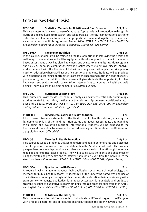## Core Courses (Non-Thesis)

**NFSC 301 Statistical Methods for Nutrition and Food Sciences 2.3; 3 cr.** This is an intermediate level course of statistics. Topics include introduction to designs in Nutrition and Food Science research; critical appraisal of literature; methods of describing data; statistical inference for means and proportions; linear and logistic regression, and an introduction to multiple regression. *Prerequisites: STAT 210 or EDUC 227 and CMPS 209 or equivalent undergraduate course in statistics. Offered Fall and Spring.*

## **NFSC 306A Community Nutrition 2.0; 2 cr.**

In this course, students will be trained on the role of nutrition in improving the health and wellbeing of communities and will be equipped with skills required to conduct communitybased assessment, as well as plan, implement, and evaluate community nutrition programs and policies. The course combines theory and practice where students will discuss, analyze, a nd experiment with the theories of behavioral change and will apply the principles of nutrition education when tackling specific nutritional problems. Students will be provided with experiential learning opportunities to assess the health and nutrition needs of specific p opulation groups. In addition, this course will give students the opportunity to plan, implement, and evaluate small-scale nutrition interventions to improve the health and wellbeing of individuals within select communities. *Offered Spring.* 

## **NFSC 307 Nutritional Epidemiology 3.0; 3 cr.**

This course deals with the design, conduct, analysis, and interpretation of epidemiologic s tudies related to nutrition, particularly the relationship between nutritional status, d iet and disease. *Prerequisites: STAT 210 or EDUC 227 and CMPS 209 or equivalent undergraduate course in statistics. Offered Fall.*

## **PHNU 300 Fundamentals of Public Health Nutrition 3 cr.**

T his course introduces students to the field of public health nutrition, covering the fundamental pillars of the field; nutrition status and needs assessments and planning, m onitoring, and evaluating nutrition interventions. Students will be exposed to the theories and conceptual frameworks behind addressing nutrition-related health issues at a population level. *Offered Fall.*

## **HPCH 331 Theories in Health Promotion 2.0; 2 cr.**

This course focuses on theories utilized to understand health determinants and outcomes a nd to promote individual and population health. Students will critically examine perspectives from health promotion and other social science disciplines through theoretical readings and empirical case studies. They will also discuss the merits and challenges of using theory to analyze health and to intervene at multiple levels from the individual to the structural levels. *Pre-requistes- PBHL 312 or (PHNU 300 and NFSC 307). Offered Spring.*

## **HPCH 334 Qualitative Health Research 2 cr.**

A course in which students advance their qualitative social research methodology and methods for public health research. Students revisit the underlying paradigms and use of qualitative methodology. Throughout this course, students refine their interviewing skills, t rain on how to manage qualitative data, apply systematic data analysis and produce a rigorous account of qualitative research findings through practical applications in Arabic and English. *Prerequisites: PBHL 310 and PBHL 312 or (PHNU 300 & NFSC 307 & NFSC 301).*

## **PHNU 301 Nutrition in the Life Cycle 3.0; 3 cr.**

This course covers the nutritional needs of individuals in different stages of the life cycle, with a focus on maternal and child nutrition and nutrition in the elderly. *Offered Fall.*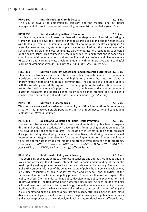## **PHNU 302 Nutrition-related Chronic Disease 3.0; 3 cr.**

Graduate Catalogue 2022–23

T his course covers the epidemiology, etiology, and the medical and nutritional management of chronic diseases whose etiologies are nutrition-related. *Offered Fall.*

## **HPCH 333 Social Marketing in Health Promotion 2.0; 2 cr.**

In this course, students will learn the theoretical underpinnings of social marketing, a framework used to develop strategies aimed to address social and public health issues a nd to design effective, sustainable, and ethically sound public health campaigns. As a service-learning course, students apply concepts acquired into the development of a social marketing plan for a local community partner organization, responding to selected public health issues. This course is offered in blended learning format and is based on a combination of different modes of delivery (online and face-to-face) and diverse models of teaching and learning styles, providing students with an interactive and meaningful learning environment. *Prerequisites: HPCH 331 and PBHL 303. Offered Fall.*

## **FSEC 310 Nutrition Security: Assessment and Intervention Strategies 3.0; 3 cr.**

T his course introduces students to basic principles of nutrition security, community n utrition, and nutritional ecology; and highlights the role that nutrition plays in improving the health and wellbeing of communities. The course aims to equip students with the knowledge and skills required to conduct population-based nutrition research, assess the nutrition needs of a population, to plan, implement and evaluate community n utrition programs and policies based on evidence-based practice and taking into consideration cultural, social, and contextual dimensions. *Offered Spring.*

## **PHNU 304 Nutrition in Emergencies 2.0; 2 cr.**

T his course covers evidence-based community nutrition interventions in emergency situations that place vulnerable populations at risk of food insecurity and consequent malnutrition. *Offered Summer.*

## **PBHL 303 Design and Evaluation of Public Health Programs 2.2; 3 cr.**

This course introduces students to the concepts and methods of public health program design and evaluation. Students will develop skills for assessing population needs for t he development of health programs. The course then covers public health program d esign, including developing measurable objectives, identifying evidence-based intervention strategies, and planning for program implementation. Students will learn to select appropriate methods for impact and process evaluation of health programs. *Prerequisites: PBHL 310 (waived for PHNU students) and PBHL 312 or (PHNU 300 & NFSC 307 & NFSC 301 & HPCH 334 (concurrently)) Offered Spring.*

## **PBHL 304 Public Health Policy and Advocacy 3.0; 3 cr.**

This course introduces students to the relevant concepts and approaches in public health p olicy and advocacy. It will provide students with a basic understanding of the public h ealth policymaking process as well as the basic elements of advocacy. The aim is to make MPH student informed of the complex nature of public health policy development, b e critical consumers of health policy research and evidence, and analytical of the influence of various actors on the policy process. Students will learn the stages of the p olicy process (i.e., agenda setting, policy development, policy implementation and policy evaluation). The field draws upon numerous disciplines. As such, course readings will be drawn from political science, sociology, biomedical sciences and policy studies. Students will also cover the basic elements of an advocacy process, including defining the issue, understanding the audiences and crafting advocacy strategies. Case studies, class discussions, and guest speakers will provide tangible examples of public health policy and advocacy processes at the national, regional and international levels. *Offered Spring.*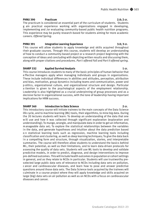## Public Health Nutrition  $\bullet$  503

## **PHNU 390 Practicum 2.0; 2 cr.**

The practicum is considered an essential part of the curriculum of students. Students g ain practical experience working with organizations engaged in developing, implementing and /or evaluating community-based public health nutrition programs. This experience may be purely research-based for students aiming for more academic careers. *Offered Spring.*

## **PHNU 391 Integrative Learning Experience 3.0; 3 cr.**

T his course will allow students to apply knowledge and skills acquired throughout t heir graduate courses. Through this course, students will develop an understanding of how to conduct a community-based project or a research project beginning with the conception of ideas and concluding with depicting written results and discussing them, along with proper citations and procedures. *Part I offered Fall and Part II offered spring.*

## **SHARP 332 Applied Survival Analysis 1 cr.**

This course introduces students to many of the basic principles of human behavior that e ffective managers apply when managing individuals and groups in organizations. These include individual differences in abilities and attitudes, perception, attribution and bias, motivation, group dynamics including teams and communication, power and p olitics, organizational culture, and organizational structure and design. Particular a ttention is given to the psychological aspects of the employment relationship. Leadership is also highlighted as a crucial underpinning of group processes and as a decisive factor in organizational success, with the tone of leadership having important implications for HRM success.

## **SHARP 360 Introduction to Data Science 2 cr.**

This introductory course will initiate trainees to the main concepts of the Data Science life cycle, and to machine learning (ML) tools, their algorithms, to mine big data. During the 20 lectures students will learn: To develop an understanding of the data that one w ill use and how it was collected through significant exploration (exploration and understanding); To munge, wrangle, and manipulate data in order to get an informative, m anageable data set; To explore the statistical relationships between the variables in the data, and generate hypotheses and intuition about the data prediction based o n statistical learning tools such as regression, machine learning tools including classification and clustering, as well as deep learning techniques; To give the data back in a compelling form and structure, through visualization, stories, and interpretable summaries. The course will therefore allow students to understand the basics behind ML, their potential, as well as their limitations, and to learn data-driven protocols for assessing the quality of data sets. Students will use ML tools to develop and validate predictive models, in order to predict, diagnose, and design interventions to improve pre-defined outcomes. This will include health outcomes in population or cohort settings in general, and as they relate to NCDs in particular. Students will use trustworthy preselected large public data sets of relevance to NCDs including data sets on pollution, c ancer and cardiovascular diseases, and learn how to pose and answer predictive questions around those data sets. The Data Science tools acquired by the trainees will culminate in a course project where they will apply knowledge and skills acquired on large (big) data sets on air pollution as well as on NCDs with a focus on cardiovascular diseases and cancer.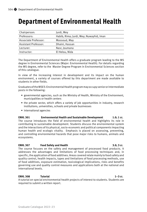# **Department of Environmental Health**

| Chairperson:         | Jurdi, Mey                              |
|----------------------|-----------------------------------------|
| Professors:          | Habib, Rima; Jurdi, Mey; Nuwayhid, Iman |
| Associate Professor: | Massoud, May                            |
| Assistant Professor: | Dhaini, Hassan                          |
| Lecturer:            | Nasr, Joumana                           |
| Instructor:          | El Helou, Nida                          |

The Department of Environmental Health offers a graduate program leading to the MS degree in Environmental Sciences (Major: Environmental Health). For details regarding the MS degree, refer to the Master Degree Program in Environmental Sciences section of this catalogue.

In view of the increasing interest in development and its impact on the human environment, a variety of courses offered by this department are made available to students in other fields.

Graduates of the MSES-Environmental Health program may occupy senior or intermediate posts in the following:

- governmental agencies, such as the Ministry of Health, Ministry of the Environment, municipalities or health centers
- the private sector, which offers a variety of job opportunities in industry, research institutions, universities, schools and private businesses
- international agencies

## **ENHL 301 Environmental Health and Sustainable Development 1.0; 1 cr.** The course introduces the field of environmental health and highlights its role in contributing to sustainable development. Students discuss the environmental system and the interactions of its physical, socio-economic and political components impacting human health and ecologic vitality. Emphasis is placed on assessing, preventing, and controlling environmental hazards that pose major risks to humans, animals and ecosystems.

## **ENHL 307** Food Safety and Health 3.0; 3 cr.

The course focuses on the safety and management of processed food products. It addresses the advantages and limitations of food processing techniques and, in specific, the application of food additives. Areas covered relate mainly to food safety and quality control, health impacts, types and limitations of food processing methods, use of food additives, exposure estimation, toxicological implications, risks and benefits governing use and quality control measures and applications both at the national and international levels.

## **ENHL 308 Tutorial 1–3 cr.**

A tutorial on special environmental health projects of interest to students. Students are required to submit a written report.

Graduate Catalogue 2022–23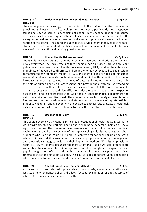## **ENHL 310/ Toxicology and Environmental Health Hazards 3.0; 3 cr. ENSC 640**

The course presents toxicology in three sections. In the first section, the fundamental principles and essentials of toxicology are introduced, particularly dose-response, toxicokinetics, and cellular mechanisms of action. In the second section, the course discusses toxicity of main organ systems. Classic toxicants that adversely affect health, emerging hazardous human exposures, and special topics are discussed in the last section of the course. The course includes lecture style presentations, collective casestudies activities and student-led discussions. Topics of local and regional relevance are also introduced through hosting guest speakers.

## **ENHL311 Human Health Risk Assessment (3.0; 3 cr.)**

Thousands of chemicals are currently in common use and hundreds are introduced newly every year. The toxic effects of these compounds on humans are of significant public health concern. Human health risk assessment (HHRA) studies the nature and probability of adverse health effects in humans who may be exposed to chemicals in contaminated environmental media. HHRA is an essential basis for decision-makers in remediation of environmental contamination and public health protection. This course introduces students to concepts, sources of data, and methods, which are used in the field of human health risk assessment, and provide them with an understanding of current issues in this field. The course examines in detail the four components of risk assessment: hazard identification, dose-response evaluation, exposure assessment, and risk characterization. Additionally, concepts in risk management and risk communication are discussed. The course includes lecture-style presentations, in-class exercises and assignments, and student lead discussions of reports/articles. Students will obtain enough experience to be able to successfully evaluate a health risk assessment report, which will be demonstrated in the final student presentations.

## **ENHL 312/ Occupational Health 2.3; 3 cr. ENSC 641**

This course overviews the general principles of occupational health, relating work, the work environment, and workers' health and wellbeing to general principles of social equity and justice. The course surveys research on the social, economic, political, environmental, and health elements of a workplace using multidisciplinary approaches. Students who join the course are able to identify occupational hazards and workrelated injuries and illnesses in workplaces and propose monitoring, management and prevention strategies to lessen their impact on workers. With its emphasis on social justice, the course discusses the factors that make some workers' groups more vulnerable than others. Its unique approach emphasizes global perspectives and popular imaginations of workers through academic publications, newspaper journalism, cinema, lectures and class discussions. This course is designed for students of multiple educational and training backgrounds and does not require prerequisite knowledge.

## **ENHL 320 Special Topics in Environmental Health 1-3 cr.**

A course that covers selected topics such as risk analysis, environmental ethics and justice, or environmental policy and allows focused examination of special topics of interest to trainees in Environmental Health.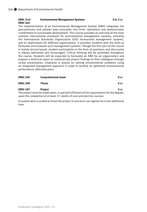### **ENHL 314/ Environmental Management Systems 3.0; 3 cr. ENSC 642**

The implementation of an Environmental Management System (EMS) integrates the precautionary and polluter pays principles into firms' operations and demonstrates commitment to sustainable development. This course provides an overview of the most common international standards for environmental management systems, primarily the International Standards Organization (ISO) harmonized management systems, and its implications for different organizations. It provides students with the skills to formulate and evaluate such management systems. Though the first part of the course is mainly lecture based, student participation in the form of questions and discussion is always welcomed and encouraged. Critical thinking will be promoted throughout the course. Students will be expected to formulate an EMS for an organization and prepare a technical report to communicate project findings to their colleagues through verbal presentation. Emphasis is placed on solving environmental problems using an integrated management approach in order to achieve an optimized environmental performance. *Alternate years.*

| <b>ENSC 695</b> | <b>Comprehensive Exam</b>                                                                                      | 0 cr. |
|-----------------|----------------------------------------------------------------------------------------------------------------|-------|
| <b>ENSC 699</b> | Thesis                                                                                                         | 6 cr. |
| <b>ENSC 697</b> | <b>Project</b>                                                                                                 | 3 cr. |
|                 | المحسور والمسالم والمستحسن والمستحسن والمكسور المستحدث المتمسح والمستحل والمستحدث والمستحدث والمستحدث والتراكب |       |

The project must be undertaken, in partial fulfillment of the requirements for the degree, upon the completion of at least 27 credits of core and elective courses.

A student who is unable to finish the project in one term can register for it one additional time.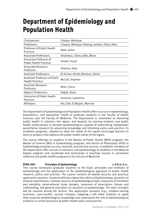# **Department of Epidemiology and Population Health**

| Chairperson:                                             | Chaaya, Monique                               |
|----------------------------------------------------------|-----------------------------------------------|
| Professors:                                              | Chaaya, Monique; DeJong, Jocelyn; Sibai, Abla |
| Professor of Public Health<br>Practice:                  | Adib, Salim                                   |
| Associate Professors:                                    | Ghandour, Lilian; Jaffa, Miran                |
| Associate Professor of<br><b>Public Health Practice:</b> | Fouad, Fouad                                  |
| Associate Research<br>Professor:                         | Ghattas, Hala                                 |
| <b>Assistant Professors:</b>                             | El-Asmar, Khalil; Mumtaz, Ghina               |
| Assistant Professor of Public<br><b>Health Practice:</b> | McCall, Stephan                               |
| Assistant Research<br>Professor:                         | Akik, Chaza                                   |
| Adjunct Professors:                                      | Hajjeh, Rana                                  |
| Instructor of Public Health<br>Practice:                 | Schenck, Catherine                            |
| Affiliates:                                              | Akl, Elie; El Bejjani, Martine                |

The Department of Epidemiology and Population Health offers courses in epidemiology, biostatistics, and population health to graduate students in the Faculty of Health Sciences and the Faculty of Medicine. The Department is committed to improving public health in Lebanon, the region, and beyond, by training students and public health professionals to become epidemiologists capable of undertaking independent quantitative research for advancing knowledge and informing policy and practice. Its academic programs, adapted to meet the needs of the region encourage learners to work on projects that address the public health needs of the region.

The course offerings to students in the Master of Public Health (MPH) program, the Master of Science (MS) in Epidemiology program, and Doctor of Philosophy (PhD) in Epidemiology are given as core, required, and elective courses. In addition, members of the department offer courses in statistics and epidemiology to students in the Medical Degree program and coordinate and participate in teaching courses in preventive medicine and public health programs in the Faculty of Medicine.

## **EPHD 3001 Principles of Epidemiology 1.5:0.5; 2 cr.**

This course introduces graduate students to the basic principles and methods of epidemiology and the application of the epidemiological approach to public health research, policy and practice. The course consists of weekly lectures and practical application sessions. Students will learn about the rubrics of Epidemiology, dynamics of disease transmission, common sources of epidemiological data, measures of morbidity and mortality, observational study designs, measures of association, biases and confounding, and general principles of causation in epidemiology. The main concepts will be covered during the lecture. The application sessions (e.g., problem-solving exercises, case-studies, journal critiques, mapping…) will allow students to apply their acquired epidemiological knowledge and understand the role of epidemiological evidence in current practices of public health policy and practice.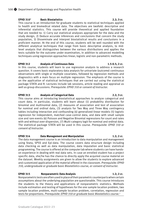## **EPHD 3101 Basic Biostatistics 2.2; 3 cr.**

This course is an introduction for graduate students to statistical techniques applied to health and biomedical related data. The objectives are twofold: descriptive and inferential statistics. This course will provide theoretical and applied foundation that are needed to: 1) Carry out statistical analyses appropriate for the data and the study design, 2) Deduce accurate inferences and conclusions that concern the study population, 3) Disseminate and interpret biostatistical results and conclusions in a proficient manner. At the end of this course, students will be well rounded with the different analytical techniques that range from basic descriptive analysis, to midlevel analysis that distinguishes between the various distributions and applies the tests suitable for the outcome under examination, in addition to advanced modelling techniques using regression approaches linear, logistic and non-parametric methods.

## **EPHD 312 Analysis of Continuous Data 1.5-0.5; 2 cr.**

In this course, students will learn to use regression analysis to address a research question. It covers basic exploratory data analysis for univariate (outcome) continuous observations with single or multiple covariates, followed by regression methods and diagnostics with a main focus on multiple regression. The emphasis of the course is on the application of statistical techniques that are carried out using the statistical package STATA and R. Lectures include lab sessions, article reading and appraisal as well as group discussions. *Prerequisite: EPHD 310 or consent of instructor.*

## **EPHD 313 Analysis of Categorical Data 2.2; 3 cr.**

This course aims at introducing biostatistical approaches to analyze categorical and count data. In particular, students will learn about (1) probability distribution for binomial and multinomial data, (2) measures of association and test of association for nominal and ordinal data, (3) analysis for Two Way and Three Way contingency tables including interaction and confounding (4) generalized linear models (5) logistic regression for independent, matched case-control data, and data with small sample size and rare events (6) Poisson and Negative Binomial regressions for count and rates with and without over-dispersion, (7) Multi-category logit for nominal and ordinal data. The statistical package STATA will be used in this course. *Prerequisite: EPHD 310 or consent of instructor.*

## **EPHD 314 Data Management and Manipulation 1.2; 2 cr.**

The data management course is an introduction to data manipulation and management using Stata, SPSS and Epi-data. The course covers data structure design including data checking as well as data manipulation, data imputation and basic statistical programming. The course is offered at the computer lab where students can have handson experience in dealing with real data sets. In case an enrolled student has a project specific data, she/he has the chance to directly apply the acquired course material on the dataset. Weekly assignments are given to allow the students to explore advanced and customized application of the material offered in the classroom. *Prerequisite: EPHD 310, undergraduate or graduate basic Biostatistics course, or consent of instructor.*

## **EPHD 315 Nonparametric Data Analysis 1.2; 2 cr.**

Nonparametric tests are often used in place of their parametric counterparts when certain assumptions about the underlying population are questionable. This course introduces the students to the theory and applications of nonparametric statistics. Methods include estimation and testing of hypotheses for the one sample location problem, two sample location problem, multi-sample location problem, correlation, regression and tests for proportions. *Prerequisite: EPHD 310 or graduate basic Biostatistics course.*1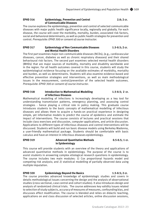## **EPHD 316 Epidemiology, Prevention and Control 2.0; 2 cr. 2.0; 2 cr. of Communicable Diseases**

The course explores the epidemiology, prevention and control of selected communicable diseases with major public health significance locally, regionally and globally. For each disease, the course will cover the morbidity, mortality, burden, associated risk factors, social and behavioral determinants, as well as public health strategies for prevention and control. *Prerequisite: EPHD 300 or consent of course instructor.*

## **EPHD 317 Epidemiology of Non Communicable Diseases 1.5-0.5; 2 cr. and Mental Health Disorders**

The first part examines major non-communicable diseases (NCDs), (e.g., cardiovascular diseases, cancer, diabetes as well as chronic respiratory diseases) and their shared behavioural risk factors. The second part examines selected mental health disorders (MHDs) that are major sources of morbidity, mortality and disability worldwide and in the region. For all health outcomes covered in this course, students will study the epidemiological evidence focusing on the available estimates of morbidity, mortality and burden, as well as determinants. Students will also examine evidence-based and effective prevention strategies and interventions, as well as main methodological issues in the measurement, control/prevention of the selected health outcomes. *Prerequisite: EPHD 300 or consent of course instructor.*

### **EPHD 318 Introduction to Mathematical Modelling 1.5-0.5; 2 cr. of Infectious Diseases**

Mathematical modelling of infections is increasingly developing as a key tool for understanding transmission patterns, emergency planning, and assessing control strategies - hence playing a critical role in policy making. This graduate course introduces students to the basic concepts of mathematical modelling of infectious diseases and allows them to acquire a hands-on practical experience in designing simple, yet informative models to predict the course of epidemics and estimate the impact of interventions. The course consists of lectures and practical sessions that include class exercises and discussion, computer applications, and article discussion. Applications to different types of infectious diseases and control interventions will be discussed. Students will build and run basic disease models using Berkeley Madonna, a user-friendly mathematical package. Students should be comfortable with basic calculus and have an interest in infectious diseases epidemiology.

### **EPHD 319 Advanced Quantitative Methods 0.5-0.5; 1 cr. in Epidemiology**

This course will provide students with an overview of the theory and applications of advanced quantitative methods in epidemiology. The purpose of the course is to assist students in answering complex etiological research questions in epidemiology. The course includes two main modules: 1) Cox proportional hazards model and competing risk analysis; and 2) statistical modelling of partially observed data using multiple imputation.

## **EPHD 320 Epidemiology Beyond the Basics 1.5-0.5; 2 cr.**

The course provides advanced knowledge of epidemiologic studies and covers in details methodological issues concerning the design and the analysis of observational studies (cross sectional, case control and cohort studies). It also introduces design and analysis of randomized clinical trials. The course addresses key validity issues related to selection of study subjects, accuracy of measures of measures, confounding bias, and discusses effect modification. The course is blended and relies on didactic teaching, applications on and class discussion of selected articles, online discussion sessions,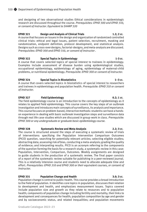and designing of two observational studies Ethical considerations in epidemiologic research are discussed throughout the course. *Prerequisites: EPHD 300 and EPHD 310, or consent of instructor. Equivalent to SHARP 320*

## **EPHD 321 Design and Analysis of Clinical Trials 1.2; 2 cr.**

A course that focuses on issues in the design and organization of randomized controlled clinical trials: ethical and legal issues, patient selection, recruitment, masking and randomization, endpoint definition, protocol development, and statistical analysis. Designs such as cross-over designs, factorial-designs, and meta-analysis are discussed. *Prerequisites: EPHD 300 and EPHD 310, or consent of instructor .*

## **EPHD 322 Special Topics in Epidemiology 1-3 cr.**

A course that covers selected topics of special interest to trainees in epidemiology. Examples include assessment of disease burden using epidemiological studies, occupational epidemiology, epidemiology of aging, epidemiology of maternal-child problems, or nutritional epidemiology. *Prerequisite: EPHD 300 or consent of instructor.*

## **EPHD 324 Special Topics in Biostatistics 1–3 cr.**

A course that covers selected topics in biostatistics of special interest to researchers and trainees in epidemiology and population health. *Prerequisite: EPHD 310 or consent of instructor.*

## **EPHD 327 Field Epidemiology 0.2; 1 cr.**

The field epidemiology course is an introduction to the concepts of epidemiology as it relates to applied field epidemiology. This course covers the key steps of an outbreak investigation and introduces main concepts of surveillance, its analysis and importance. This course focuses on problem-based, interactive methods: students can have a handson experience in dealing with basic outbreak investigation steps and surveillance data through real life case-studies which are discussed in group-work in class*. Prerequisite: EPHD 300 or any undergraduate or graduate basic epidemiology course.*

## **EPHD 328 Systematic Review and Meta-Analysis 2.2; 3 cr.**

The course is structured around the steps of executing a systematic review of trials of interventions: specifying the Population Intervention Comparison Outcomes (PICO) question, searching for potentially relevant articles; selecting eligible studies; abstracting data; assessing risk of bias, conducting a meta-analysis; grading the quality of evidence; and interpreting results. PICO is an acronym referring to the components of the question forming the basis for a research study, a systematic review in this case: Population, Intervention, Comparison, Outcomes. Weekly assignments are designed to guide students in the production of a systematic review. The final paper consists of a report of the systematic review suitable for publishing in a peer-reviewed journal. This is a relatively intensive course and students need to allocate adequate time and effort. *Prerequisites: EPHD 310 and EPHD 300 or their equivalent courses, or consent of instructor.*

## **EPHD 331 Population Change and Health 3.0; 3 cr.**

Population change is central to public health. This course provides a broad introduction to the field of population. It identifies core topics in population, discusses their relation to development and health, and emphasizes measurement issues. Topics covered include population size and growth as they relate to resources and to population health; components of population change including fertility and mortality, their links to development and consequences for health; population composition by age and gender and by socioeconomic status, and related inequalities; and population movements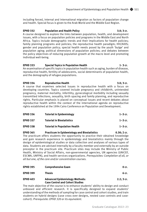including forced, internal and international migration as factors of population change and health. Special focus is given to the Arab World and the Middle East Region.

## **EPHD 332 Population and Health Policy 3.0; 3 cr.**

A course designed to explore the links between population, health, and development issues, with a focus on population policies and programs in the Middle East and North Africa. Topics include demographic trends and their implications for health policies; family planning programs and policies; the reproductive health paradigm; HIV/AIDS; gender and population policy; special health needs posed by the youth 'bulge' and population aging; political dimensions of population policies; and debates between the policy objectives of reducing population growth at the macro level and promoting individual well-being.

## **EPHD 333 Special Topics in Population Health 1-3 cr.**

An examination of specific topics in population health such as aging, burden of disease, reproductive health, fertility of adolescents, social determinants of population health, and the demography of refugee populations.

**EPHD 334 Reproductive Health 3.0; 3 cr.** A course that examines selected issues in reproductive health with a focus on developing countries. Topics covered include pregnancy and childbirth, unintended pregnancy, maternal mortality, infertility, gynecological morbidity including sexually transmitted infections, sexuality, birth spacing and family planning, and reproductive rights. Particular emphasis is placed on conceptual issues and recent debates about reproductive health within the context of the international agenda on reproductive rights established at the 1994 Cairo Conference on Population and Development.

| <b>EPHD 336</b> | <b>Tutorial in Epidemiology</b>      | $1 - 3$ cr. |
|-----------------|--------------------------------------|-------------|
| <b>EPHD 337</b> | <b>Tutorial in Biostatistics</b>     | $1 - 3$ cr. |
| <b>EPHD 338</b> | <b>Tutorial in Population Health</b> | $1 - 3$ cr. |

**EPHD 365 Practicum in Epidemiology and Biostatistics 0.30; 2 cr.** The practicum offers students the opportunity to practice their obtained knowledge and gain research experience in epidemiology and biostatistics mainly through the design of epidemiological studies or data collection and analyses of various types of data. Students are advised internally by a faculty member and externally by an outside preceptor in the practicum site. Practicum sites may include the Ministry of Public Health, Ministry of Social Affairs, non-governmental agencies, UN agencies (UNICEF, ESCWA, UNFPA), and health services organizations. *Prerequisites: Completion of all, or all but one, of the core and/or concentration courses.*

| <b>EPHD 395</b> | <b>Comprehensive Exam</b>                                                       | 0 cr.       |
|-----------------|---------------------------------------------------------------------------------|-------------|
| <b>EPHD 399</b> | Thesis                                                                          | 6 cr.       |
| <b>EPHD 403</b> | <b>Advanced Epidemiology Methods:</b><br><b>Case Control and Cohort Studies</b> | $2.2:3$ cr. |

The main objective of the course is to enhance students' ability to design and conduct unbiased and efficient research. It is specifically designed to expand students' understanding of the methods of sampling for case control and cohort studies, and train students on hybrid designs (case cross over designs, nested case controls and casecohort). *Prerequisite: EPHD 320 or its equivalent.*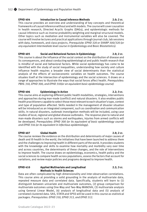## **EPHD 404 Introduction to Causal Inference Methods 2.0; 2 cr.**

This course provides an overview and understanding of key concepts and theoretical frameworks of causal inference without and with models. The course will cover causation in health research, Directed Acyclic Graphs (DAGs), and epidemiologic methods for causal inference such as inverse probability weighting and marginal structural models. Other topics such as mediation and instrumental variables will also be covered. The course will involve lectures and practical applications through journal club, lab sessions with data, homework, and class projects. *Prerequisite: EPHD 320 or SHARP 300/320 (or any equivalent intermediate level course in Epidemiology and Basic Biostatistics).*

## **EPHD 405 Social and Behavioral Factors in Epidemiology 2.0; 2 cr.**

This course is about the influence of the social context on the distribution of disease and its consequences, and about conducting epidemiological and public health research that is mindful of social and behavioral factors. While social epidemiology has come to be identified with the study of social inequalities, understanding how society and culture influence health requires a broader view of social determinants than the statistical analysis of the effects of socioeconomic variables on health outcomes. The course situates itself at the intersection of epidemiology and the social sciences. It draws on a range of approaches to illustrate the ways that social forces affect health. *Prerequisites: PBHL 310, EPHD 300, and EPHD 310(or an equivalent basic epidemiology course)*.

## **EPHD 406 Epidemiology in Action 2.2; 3 cr.**

This course aims at exploring different public health modalities, strategies, interventions and approaches during man-made (conflict) and natural disasters. It also enables public health practitioners capable to select those most relevant to each situation's type, context and type of population affected. Skills needed in the management of disaster situation will be introduced as an integrated component, such as coordination and communication skills. In natural disasters, outbreak investigation methods will be included, using case studies of local, regional and global disease outbreaks. The response plan to natural and man-made disasters such as storms and earthquakes, injuries from armed conflicts will be developed. *Prerequisites: EPHD 300 (or its equivalent of basic epidemiology course) and EPHD 316 (or its equivalent in infectious epidemiology).*

## **EPHD 407 Global Health 2.0; 2 cr.**

The course reviews the evidence on the distribution and determinants of major causes of death and ill-health in the world, the initiatives that have been launched to address them and the challenges to improving health in different parts of the world. It provides students with the knowledge and skills to examine how mortality and morbidity vary over time and across countries, the determinants of these changes, and the role of interventions to improve health. The course draws on epidemiology, economics, health policy and the social sciences to compare health across populations, assess the factors that account for variations, and review major policies and programs designed to improve health.

## **EPHD 410 Applied Multivariate and Longitudinal 2.2; 3 cr. Methods in Health Sciences**

Data are often complicated by high dimensionality and inter-observation correlations. This course aims at providing a solid grounding in the analysis of multivariate data, repeated measure data and correlated data. Specifically, students will learn to (1) distinguish between univariate and multivariate outcomes, (2) group comparison for multivariate outcomes using One-Way and Two-Way MANOVA, (3) multivariate analysis using General Linear Model, (4) analysis of longitudinal data and (5) analysis of correlated clustered data. SAS, STATA and SPSS will be used in this course as statistical packages. *Prerequisites: EPHD 310, EPHD 313, and EPHD 312.*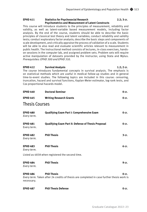## **EPHD 411 Statistics for Psychosocial Research 2.2; 3 cr. Psychometrics and Measurement of Latent Constructs**

This course will introduce students to the principles of measurement, reliability and validity, as well as latent-variable based measurement models, including factor analysis. By the end of the course, students should be able to describe the basic principles of classical test theory and latent variables; conduct reliability and validity tests; conduct exploratory factor analysis; describe the basic steps and components of scale development, and critically appraise the process of validation of a scale. Students will be able to also read and evaluate scientific articles relevant to measurement in public health. The instructional method consists of lectures, in-class exercises, handson sessions in the computer lab, and assigned problem sets. Problem sets will require active manipulation of datasets provided by the instructor, using Stata and Mplus. *Prerequisites: EPHD 300 and EPHD 310.*

## **EPHD 412 Survival Analysis 1.2; 2 cr.** The course introduces fundamental concepts in survival analysis. The emphasis is on statistical methods which are useful in medical follow-up studies and in general time-to-event studies. The following topics are included in this course: censoring, truncation, hazard and survival functions, Kaplan-Meier estimator, log-rank tests, and Cox proportional hazards model.

| <b>EPHD 440</b>                | <b>Doctoral Seminar</b>                                                                                        | 0 cr.   |
|--------------------------------|----------------------------------------------------------------------------------------------------------------|---------|
| <b>EPHD 445</b>                | <b>Writing Research Grants</b>                                                                                 | 0 cr.   |
| <b>Thesis Courses</b>          |                                                                                                                |         |
| <b>EPHD 480</b><br>Every term. | Qualifying Exam Part I: Comprehensive Exam                                                                     | 0 cr.   |
| <b>EPHD 481</b><br>Every term. | Qualifying Exam Part II: Defense of Thesis Proposal                                                            | 0 cr.   |
| <b>EPHD 482</b><br>Every term. | <b>PhD Thesis</b>                                                                                              | 3 cr.   |
| <b>EPHD 483</b><br>Every term. | <b>PhD Thesis</b>                                                                                              | 6 cr.   |
|                                | Listed as 483A when registered the second time.                                                                |         |
| <b>EPHD 484</b><br>Every term. | <b>PhD Thesis</b>                                                                                              | 9 cr.   |
| <b>EPHD 486</b><br>necessary.  | <b>PhD Thesis</b><br>Every term. Taken after 24 credits of thesis are completed in case further thesis work is | $0$ cr. |

| <b>EPHD 487</b> | <b>PhD Thesis Defense</b> | 0 cr. |
|-----------------|---------------------------|-------|
|-----------------|---------------------------|-------|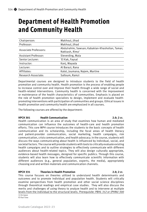# **Department of Health Promotion and Community Health**

| Chairperson:                | Makhoul, Jihad                                                                |
|-----------------------------|-------------------------------------------------------------------------------|
| Professor:                  | Makhoul, Jihad                                                                |
| Associate Professors:       | Abdulrahim, Sawsan; Kabakian-Khasholian, Tamar;<br>Nakkash, Rima <sup>1</sup> |
| <b>Assistant Professor:</b> | Sieverding, Maia                                                              |
| Senior Lecturer:            | "El Kak, Faysal                                                               |
| Instructor:                 | Kanj, Mayada                                                                  |
| Lecturer:                   | Al Barazi, Rana                                                               |
| Affiliates:                 | Kalot, Joumana; Najem, Martine                                                |
| Research Associate:         | Salloum, Ramzi                                                                |

Departmental courses are designed to introduce students to the field of health promotion and community health. Health promotion is the process of enabling people to increase control over and improve their health through a wide range of social and health-related interventions. Community health is concerned with the improvement or maintenance of the health characteristics of communities. Emphasis is placed on the role of health promotion specialists to design, implement and evaluate healthpromoting interventions with participation of communities and groups. Ethical issues in health promotion and community health are emphasized in all courses.

The following courses are offered by the department:

### **HPCH 301 Health Communication 2.0; 2 cr.**

Health communication is an area of study that examines how human and mediated communication can influence the outcomes of health-care and health promotion efforts. This core MPH course introduces the students to the basic concepts of health communication and its scholarship, including the focal areas of health literacy and patient-provider communication, social marketing, health campaigns, risk communication, crisis communication, and health advocacy. In the course, students will discuss the ways communicating about health is influenced by individual, social, and societal factors. The course will provide students with tools to critically evaluate existing health campaigns and to outline strategies to effectively communicate with different audiences about health-related topics. They will also design culturally appropriate, evidence-based health messages, designed for specific publics. Through this course, students will also learn how to effectively communicate scientific information with different audiences (e.g., general population, experts, the media), appropriately choosing oral and written materials and communication channels.

## **HPCH 331 Theories in Health Promotion 2.0; 2 cr.**

This course focuses on theories utilized to understand health determinants and outcomes and to promote individual and population health. Students will critically examine perspectives from health promotion and other social science disciplines through theoretical readings and empirical case studies. They will also discuss the merits and challenges of using theory to analyze health and to intervene at multiple levels from the individual to the structural levels. *Prerequisite: PBHL 312 or (PHNU 300* 

<sup>1)</sup> On leave P) Part Time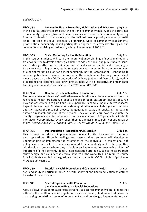## *and NFSC 307).*

**HPCH 332 Community Health Promotion, Mobilization and Advocacy 3.0; 3 cr.** In this course, students learn about the notion of community health, and the principles of community organizing to identify needs, values and resources in a community setting in order to develop an advocacy plan that will address a priority community health issue. Topical areas cover community organizing, types of community assessments, prioritization, community based participatory approaches, advocacy strategies, and community organizing and advocacy ethics. *Prerequisite: PBHL 312.*

## **HPCH 333 Social Marketing for Health Promotion 2.0; 2 cr.**

In this course, students will learn the theoretical underpinnings of social marketing, a framework used to develop strategies aimed to address social and public health issues and to design effective, sustainable, and ethically sound public health campaigns. As a service-learning course, students apply concepts acquired into the development of a social marketing plan for a local community partner organization, responding to selected public health issues. This course is offered in blended learning format, which means based on a mix of different modes of delivery (online and face-to-face), models of teaching and learning styles, providing students with an interactive and meaningful learning environment. *Prerequisites: HPCH 331 and PBHL 303.*

## **HPCH 334 Qualitative Research in Health Promotion 2.0; 2 cr.**

The course develops learners' qualitative research skills to address a research question relevant to health promotion. Students engage through classroom discussions, role play and assignments to gain hands on experience in conducting qualitative research beyond class settings. Students learn about qualitative research designs and methods and then apply the research process by generating data, and analyzing the data to answer a research question of their choice. They will also learn how to evaluate the quality or rigor of a qualitative research proposal or manuscript. Topics include in-depth interviews, observations, focus groups, thematic analysis, research rigor and research ethics. *Prerequisites: PBHL 310 and PBHL 312 or (PHNU 300 & NFSC 307 & NFSC 301).*

## **HPCH 335 Implementation Research for Public Health 2.0; 2 cr.**

This course introduces implementation research, its frameworks, methods, and applications. Through readings and case studies, students will develop an understanding of implementation strategies at the individual, organizational and policy levels, and will discuss issues related to sustainability and scaling-up. They will develop a project where they articulate an implementation research problem of importance in their context, identify implementation strategies, select the appropriate study design, and consider the ethical aspects of the work. This is a required course for all students enrolled in the graduate program on the WHO-TDR scholarship scheme. *Prerequisite: PBHL 303.*

## **HPCH 339 Tutorial in Health Promotion and Community health 1–3 cr.**

A guided study in particular topics in health behavior and health education as defined by instructor and student.

## **HPCH 341 Special Topics in Health Promotion** 1-3 cr. **and Community Health - Special Populations**

A course in which students explore the personal, social and community determinants that influence the health of special populations such as women, children and adolescents, or an aging population. Issues of assessment as well as design, implementation, and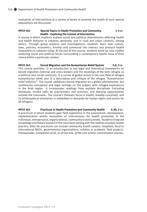evaluation of interventions at a variety of levels to promote the health of such special populations are discussed.

## **HPCH 342 Special Topics in Health Promotion and Community 1-3 cr. Health - Exploring the Context of Intervention**

A course in which students explore social and political determinants affecting health and health behavior in Lebanon, generally, and in rural and urban contexts, among others. Through group projects and investigations, students learn how culture, laws, policies, economics, kinship and communal ties interact and produce health inequalities in Lebanon today. At the end of this course, students build up case studies analyzing social and political forces surrounding a contemporary health issue of their choice within a particular context.

**HPCH 343 Forced Migration and the Humanitarian Relief System 3.0; 3 cr.** This course provides: 1) an introduction to key legal and theoretical frameworks on forced migration (internal and cross-border) and the meanings of the term refugee as a political and social construct; 2) a survey of global actors in the vast field of refugee humanitarian relief; and 3) a description and critique of the refugee "humanitarian relief industry." The course addresses forced migration as a global phenomenon, but synthesizes conceptual and legal writings on the subject with refugee experiences in the Arab region. It incorporates readings from multiple disciplines (including literature), invited talks by practitioners and activists, and learning opportunities outside the classroom. The course's thematic focus is health, broadly conceived, and its philosophical orientation is embedded in demands for human rights and justice for all refugees.

**HPCH 365 Practicum in Health Promotion and Community Health 0.30; 2 cr.** A practicum in which students gain field experience in the assessment, development, implementation and/or evaluation of interventions for health promotion at the individual, interpersonal, organizational, community or policy levels. Students integrate knowledge and theory learned in the classroom setting with the realities of public health practice. Sites for practicum can include community health centers, hospitals, local or international NGOs, governmental organizations, schools or academic field projects. *Prerequisites: Completion of all, or all but one, of the core and/or concentration courses.*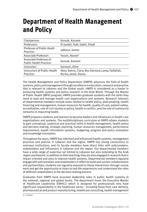# **Department of Health Management and Policy**

| Chairperson:                                             | Kassak, Kassem                                                           |
|----------------------------------------------------------|--------------------------------------------------------------------------|
| Professors:                                              | El-Jardali, Fadi; Saleh, Shadi                                           |
| Professor of Public Heath<br>Practice:                   | Jabbour, Samer                                                           |
| Associate Professor:                                     | Yassin, Nasser <sup>1</sup>                                              |
| Associate Professor of<br><b>Public Health Practice:</b> | Kassak, Kassem                                                           |
| Instructor:                                              | Germani, Aline                                                           |
| Instructors of Public Health<br>Practice:                | Abou Samra, Clara; Bou Karroum, Lama; Fadlallah,<br>Racha; Jamal, Diana; |

The Health Management and Policy Department (HMPD) advances the field of health systems, policy and management through excellence in education, research and practice that is relevant to Lebanon and the Global south. HMPD is considered as a leader in producing health systems and policy research in the Arab World. Through the Master of Public Health (MPH) program, HMPD provides graduate students with the skills they need to lead and manage health care organizations and systems. Research interests of departmental members include areas related to health policy, policymaking, health financing and management, human resources for health, quality of care, patient safety, accreditation, role of civil society in policy, health in conflict, and the role of community networks in impacting health.

HMPD prepares students and learners to become leaders and influencers in health care organizations and systems. The multidisciplinary curriculum at HMPD allows students to gain conceptual, analytical and practical skills in health management, health policy and decision-making, strategic planning, human resources management, performance improvement, health information systems, budgeting, program and policy evaluation and knowledge translation.

Throughout the years, HMPD has informed and influenced health systems, management practices and policies in Lebanon and the region. HMPD has strong connections to overseas institutions, and its faculty members have direct links with policymakers, stakeholders and influencers in Lebanon and the region. Our departmental members have a wide range of expertise not limited to Lebanon but also extending to the Arab region and beyond. In addition to their teaching, they are also engaged in research that is impact oriented and aims to improve health systems. Departmental members regularly engage with policymakers and stakeholders in effort to build and sustain collaborations and partnerships; students are regularly exposed to these interactions through course work and get the opportunity to listen to real life experiences and understand the roles of different stakeholders in the decision making process.

Graduates from HMPD have assumed leadership roles in public health systems at the national, regional and global levels. The department hosts the Executive Master of Healthcare Leadership (EMHCL) which is designed for professionals who have significant responsibility in the healthcare sector - including those from care delivery, pharmaceutical and product manufacturing, healthcare consulting, health management

<sup>1)</sup> on leave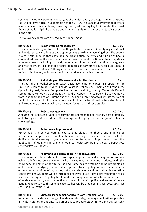systems, insurance, patient advocacy, public health, policy and regulation institutions. HMPD also have a Health Leadership Academy (HLA), an Executive Program that offers a set of consecutive modules, three days each, addressing key topics under the broad theme of leadership in healthcare and bringing hands-on experience of leading experts in the field.

The following courses are offered by the department:

## **HMPD 300 Health Systems Management 3.0; 3 cr.**

This course is designed for public health graduate students to identify organizational and health system challenges and apply systems thinking in resolving them. The course is a core MPH module that examines the organization, delivery and funding of health care and addresses the main components, resources and functions of health systems at several levels including national, regional and international. It critically integrates analyses of structural biases and social inequities as barriers to equitable public health and health care systems. Although the course topics have relevance to national and regional challenges, an international comparative approach is adopted.

### **HMPD 306 A Workshop on Microeconomics for Healthcare 6 CDF.** O cr.

The goal of this workshop is to teach basic economic principles in preparation for HMPD 351. Topics to be studied include: What is Economics? Principles of Economics, Opportunity Cost, Demand/supply for health care, Elasticity, Costing, Monopoly, Perfect competition, Monopolistic competition, and Oligopoly. The course will use examples from Lebanon, the Region, Europe and the U.S. health care sector to illustrate the role of Health Economics. This Economics course will follow the traditional lecture structure of an introductory course but will also include discussion and case studies.

## **HMPD 314 Project Management 2.0; 2 cr.**

A course that exposes students to current project management trends, best practices, and strategies that can aid in better management of projects and programs in health care settings.

## **HMPD 315 Performance Improvement 3.0; 3 cr.**

HMPD 315 is a service-learning course that blends the theory and practice of performance improvement in health care settings. Special attention will be dedicated to discussing organizational culture for quality improvement, and the application of quality improvement tools to healthcare from a global perspective. *Prerequisite: HMPD 300.*

## **HMPD 318 Policy and Decision Making in Health Systems 2.0; 2 cr.**

This course introduces students to concepts, approaches and strategies to promote evidence-informed policy making in health systems. It provides students with the knowledge and skills of how to define and frame health systems and policy problems and assess underlying factors; develop and frame policy options; and assess options in terms of benefits, harms, risks, stakeholder reactions and implementation considerations.Students will be introduced to ways to use knowledge translation tools such as briefing notes, policy briefs and rapid response in order to promote the use of evidence in policy and to effectively communicate with policy makers to influence action. Real world health systems case studies will be provided in class*. Prerequisites: PBHL 304 and HMPD 300.*

### **HMPD 319 Strategic Management of Health Care Organizations 2.0; 2 cr.** A course that provides knowledge of fundamental strategic management skills applicable

in health care organizations. Its purpose is to prepare students to think strategically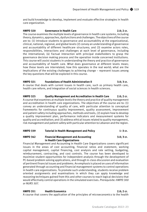and build knowledge to develop, implement and evaluate effective strategies in health care organization.

## **HMPD 320 Governance in Health Care 2.0; 2 cr.**

The course examines the multiple levels of governance in health care systems, including theory, dynamics, approaches, dysfunctions and challenges. The objectives of the course are to: (1) introduce students to governance and accountability at the organizational, clinical, national, regional, and global levels (2) convey an understanding of governance and accountability of different healthcare structures; and (3) examine actors roles, responsibilities, interactions and challenges at each level of governance, including the international; (4) Factual interaction with principal stakeholders to grasp the governance decision making process and the operation inside concerned institutions. This course will assist students in understanding the theory and practice of governance and accountability of health care. What does governance at different levels mean; how these levels are interrelated; how this operates in the real world; what are the implications of the existing challenges to achieving change – represent issues among the key questions that will be explored in this course.

## **HMPD 321 Foundations of Health Administration II 3.0; 3 cr.**

A course that deals with current issues in health care, such as primary health care, health care reform, and integration of social sciences in health sciences.

**HMPD 325 Quality Management and Accreditation in Health Care 2.0; 2 cr.** A course that examines at multiple levels the theory and practice of quality management and accreditation in health care organizations. The objectives of the course are to: (1) convey an understanding of quality of care, with particular attention to conceptual frameworks for continuous quality improvement, quality assessment, improvement and patient safety including approaches, methods and tools, (2) explain how to develop a quality improvement plan, performance indicators and measurement systems for quality and accreditation; and (3) address ethical issues related to quality management, risk management and patient safety with particular attention to Lebanon and the region.

## **HMPD 339 Tutorial in Health Management and Policy 1–3 cr.**

## **HMPD 342 Financial Management and Accounting 3.0; 3 cr. in Health Care Organizations**

Financial Management and Accounting in Health Care Organizations covers significant issues in the areas of cost accounting, financial ratios and statement, working capital management, capital financing, cost analysis and rate setting, budgeting, reimbursement, contracting, and cost controls. The course has been developed to maximize student opportunities for independent analysis through the development of PC-based problem solving applications, and through in-class discussion and evaluation of pertinent financial issues and problems. An emphasis is placed on uses of information generated through accounting and financial management systems to control operations in health care organizations. To promote such understanding, students receive problem oriented assignments and examinations in which they can apply knowledge and reasoning techniques gained from this and other courses to reach logical decisions that would effectively control operations in the simulated exercises. *Prerequisite: HMPD 300 or NURS 507.*

## **HMPD 351 Health Economics 2.0; 2 cr.**

A course that covers the application of the principles of microeconomics to the health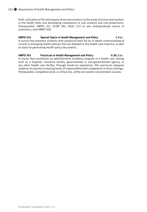field, utilization of the techniques of microeconomics to the study of prices and markets in the health field, and developing competence in cost analysis and cost projections. *Prerequisites: HMPD 251, ECON 203, AGSC 212 or any undergraduate course in economics, and HMPD 300.*

## **HMPD 354 Special Topics in Health Management and Policy 1-3 cr.**

A course that presents students with analytical tools for an in-depth understanding of current or emerging health policies that are debated in the health care industry, as well as tools for generating health policy documents.

### **HMPD 365 Practicum in Health Management and Policy 0.30; 2 cr.** A course that constitutes an administrative residency program in a health care setting such as a hospital, insurance facility, governmental or non-governmental agency, or any other health care facility. Through hands-on experience, this practicum prepares students to assume increasing levels of responsibility with competence in these settings. *Prerequisites: Completion of all, or all but one, of the core and/or concentration courses.*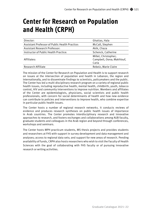# **Center for Research on Population and Health (CRPH)**

| Director:                                      | Ghattas, Hala                                              |
|------------------------------------------------|------------------------------------------------------------|
| Assistant Professor of Public Health Practice: | McCall, Stephen                                            |
| <b>Assistant Research Professor:</b>           | Akik, Chaza                                                |
| Instructor of Public Health Practice:          | Schenck, Catherine                                         |
| Affiliates:                                    | Millet, Christopher;<br>Campbell, Oona; Makhlouf,<br>Carla |
| Research Affiliate                             | Rebeiz, Marie Claire                                       |

The mission of the Center for Research on Population and Health is to support research on issues at the intersection of population and health in Lebanon, the region and internationally, and to disseminate findings to scientists, policymakers and the public. The Center has led a multi-disciplinary research program on a variety of regional public health issues, including reproductive health, mental health, childbirth, youth, tobacco control, HIV and community interventions to improve nutrition. Members and affiliates of the Center are epidemiologists, physicians, social scientists and public health professionals, with concern for social determinants of health and how new evidence can contribute to policies and interventions to improve health, who combine expertise in particular public health issues.

The Center hosts a number of regional research networks. It conducts reviews of evidence and produces research syntheses on public health issues of importance in Arab countries. The Center promotes interdisciplinary research and innovative approaches to research, and fosters exchanges and collaborations among AUB faculty, graduate students and colleagues in the Arab region and beyond through conferences, workshops and seminars.

The Center hosts MPH practicum students, MS thesis projects and provides students and researchers at FHS with support in survey development and data management and analyses; access to regional data sets; and support for new areas of research. Pending availability of funds, CRPH also hosts researchers who wish to visit the Faculty of Health Sciences with the goal of collaborating with FHS faculty or of pursuing innovative research or writing activities.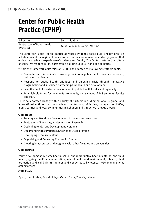# **Center for Public Health Practice (CPHP)**

| Director:                                 | Germani, Aline                 |
|-------------------------------------------|--------------------------------|
| Instructors of Public Health<br>Practice: | Kalot, Joumana; Najem, Martine |

The Center for Public Health Practice advances evidence-based public health practice in Lebanon and the region. It creates opportunities for innovation and engagement that enrich the academic experience of students and faculty. The Center nurtures the culture of collective responsibility, partnership building, diversity and social justice.

Within the framework of its mission, CPHP has adopted the following strategic goals:

- Generate and disseminate knowledge to inform public health practice, research, policy and curriculum.
- Respond to public health priorities and emerging crisis through innovative programming and sustained partnerships for health and development.
- Lead the field of workforce development in public health locally and regionally.
- Establish platforms for meaningful community engagement of FHS students, faculty and staff.

CPHP collaborates closely with a variety of partners including national, regional and international entities such as academic institutions, ministries, UN agencies, NGOs, municipalities and local communities in Lebanon and throughout the Arab world.

## **CPHP Tracks**

- Training and Workforce Development; in person and e-courses
- Evaluation of Programs/Implementation Research
- Designing Health and Development Programs
- Documenting Best Practices/Knowledge Dissemination
- Developing Resource Material
- Organizing and Delivering Courses for Students
- Creating joint courses and programs with other faculties and universities

## **CPHP Themes**

Youth development, refugee health, sexual and reproductive health, maternal and child health, ageing, health communication, school health and environment, tobacco, child protection and child rights, gender and gender-based violence, NGO management, among others

## **CPHP Reach**

Egypt, Iraq, Jordan, Kuwait, Libya, Oman, Syria, Tunisia, Lebanon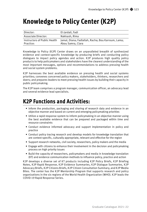# **Knowledge to Policy Center (K2P)**

| Director:                    | El-Jardali, Fadi                                   |
|------------------------------|----------------------------------------------------|
| Associate Director:          | Nakkash, Rima                                      |
| Instructors of Public Health | Jamal, Diana: Fadlallah, Racha: Bou Karroum, Lama: |
| Practice:                    | Abou Samra, Clara                                  |

Knowledge to Policy (K2P) Center draws on an unparalleled breadth of synthesized evidence and context-specific knowledge by producing briefs and conducting policy dialogues to impact policy agendas and action. K2P produces high quality policy products to help policymakers and stakeholders have the clearest understanding of the most important messages, options and recommendations to address pressing health and social system problems.

K2P harnesses the best available evidence on pressing health and social systems priorities; convenes concerned policy makers, stakeholders, thinkers, researchers and doers; and prepares leaders to meet pressing health issues by building their capacity in public policymaking.

The K2P team comprises a program manager, communication officer, an advocacy lead and several evidence lead specialists.

# **K2P Functions and Activities:**

- Inform the production, packaging and sharing of research data and evidence in an objective manner and based on current and emerging policymaking priorities
- Utilize a rapid response system to inform policymaking in an objective manner using the best available evidence that can be prepared and packaged within time and resource constraints
- Conduct evidence informed advocacy and support implementation in policy and practice
- Conduct policy tracing research and develop models for knowledge translation that are context-specific, culturally appropriate, relevant and effective for the region
- Support research networks, civil society, researchers, policy makers and the media
- Engage with citizens to enhance their involvement in the decision and policymaking process on high priority issues
- Build the capacity of researchers, policymakers and media in knowledge translation (KT) and evidence communication methods to influence policy, practice and action

K2P develops a diverse set of KT products including K2P Policy Briefs, K2P Briefing Notes, K2P Rapid Response, K2P Evidence Summaries, K2P Dialogue Summaries, K2P Advocacy Briefs, K2P Citizens Briefs, K2P Citizen Consultation Summary, and K2P Media Bites. The center has the K2P Mentorship Program that supports research and policy organizations in the six regions of the World Health Organization (WHO). K2P leads the COVID-19 Rapid Response Series.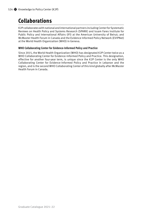# **Collaborations**

K2P collaborates with national and international partners including Center for Systematic Reviews on Health Policy and Systems Research (SPARK) and Issam Fares Institute for Public Policy and International Affairs (IFI) at the American University of Beirut; and McMaster Health Forum in Canada and the Evidence Informed Policy Network (EVIPNet) at the World Health Organization (WHO) in Geneva.

## **WHO Collaborating Center for Evidence-Informed Policy and Practice**

Since 2015, the World Health Organization (WHO) has designated K2P Center twice as a WHO Collaborating Center for Evidence-Informed Policy and Practice. This designation, effective for another four-year term, is unique since the K2P Center is the only WHO Collaborating Center for Evidence-Informed Policy and Practice in Lebanon and the region, and is the second WHO Collaborating Center of this kind globally after McMaster Health Forum in Canada.